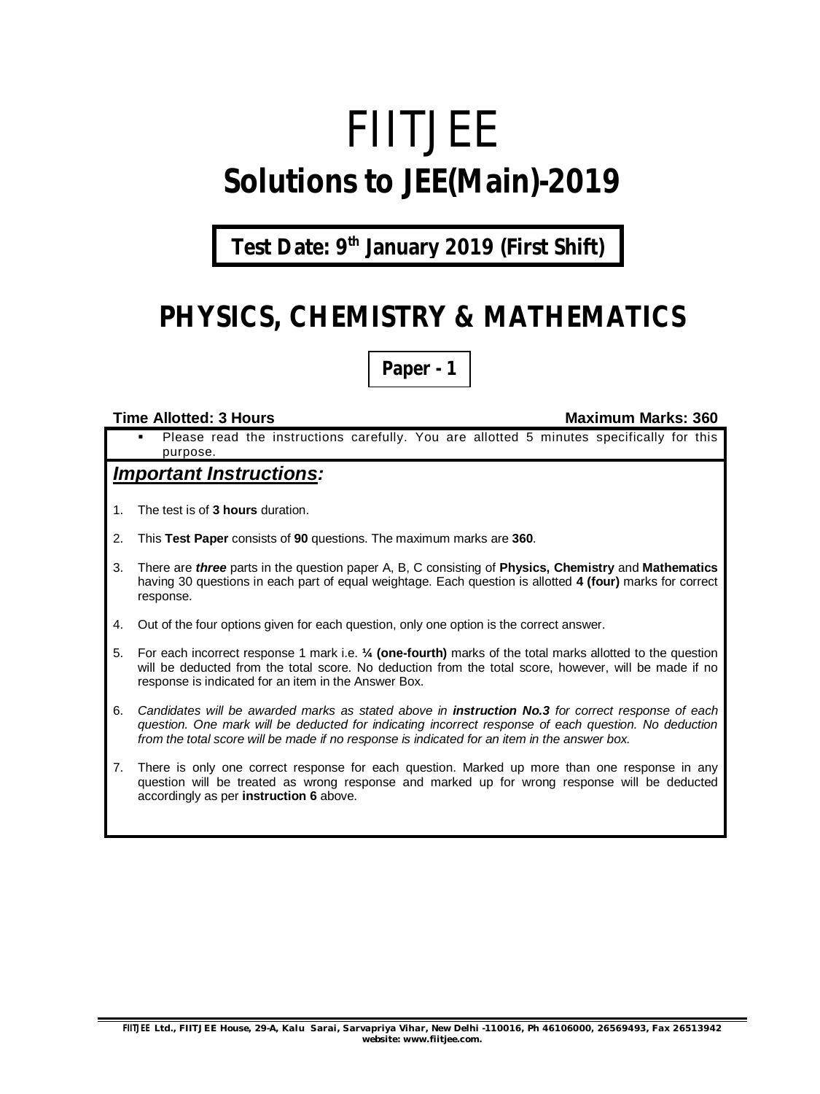# FIITJEE **Solutions to JEE(Main)-2019**

**Test Date: 9 th January 2019 (First Shift)**

### **PHYSICS, CHEMISTRY & MATHEMATICS**

**Paper - 1**

#### **Time Allotted: 3 Hours Maximum Marks: 360**

 Please read the instructions carefully. You are allotted 5 minutes specifically for this purpose.

#### *Important Instructions:*

- 1. The test is of **3 hours** duration.
- 2. This **Test Paper** consists of **90** questions. The maximum marks are **360**.
- 3. There are *three* parts in the question paper A, B, C consisting of **Physics, Chemistry** and **Mathematics** having 30 questions in each part of equal weightage. Each question is allotted **4 (four)** marks for correct response.
- 4. Out of the four options given for each question, only one option is the correct answer.
- 5. For each incorrect response 1 mark i.e. **¼ (one-fourth)** marks of the total marks allotted to the question will be deducted from the total score. No deduction from the total score, however, will be made if no response is indicated for an item in the Answer Box.
- 6. *Candidates will be awarded marks as stated above in instruction No.3 for correct response of each question. One mark will be deducted for indicating incorrect response of each question. No deduction from the total score will be made if no response is indicated for an item in the answer box.*
- 7. There is only one correct response for each question. Marked up more than one response in any question will be treated as wrong response and marked up for wrong response will be deducted accordingly as per **instruction 6** above.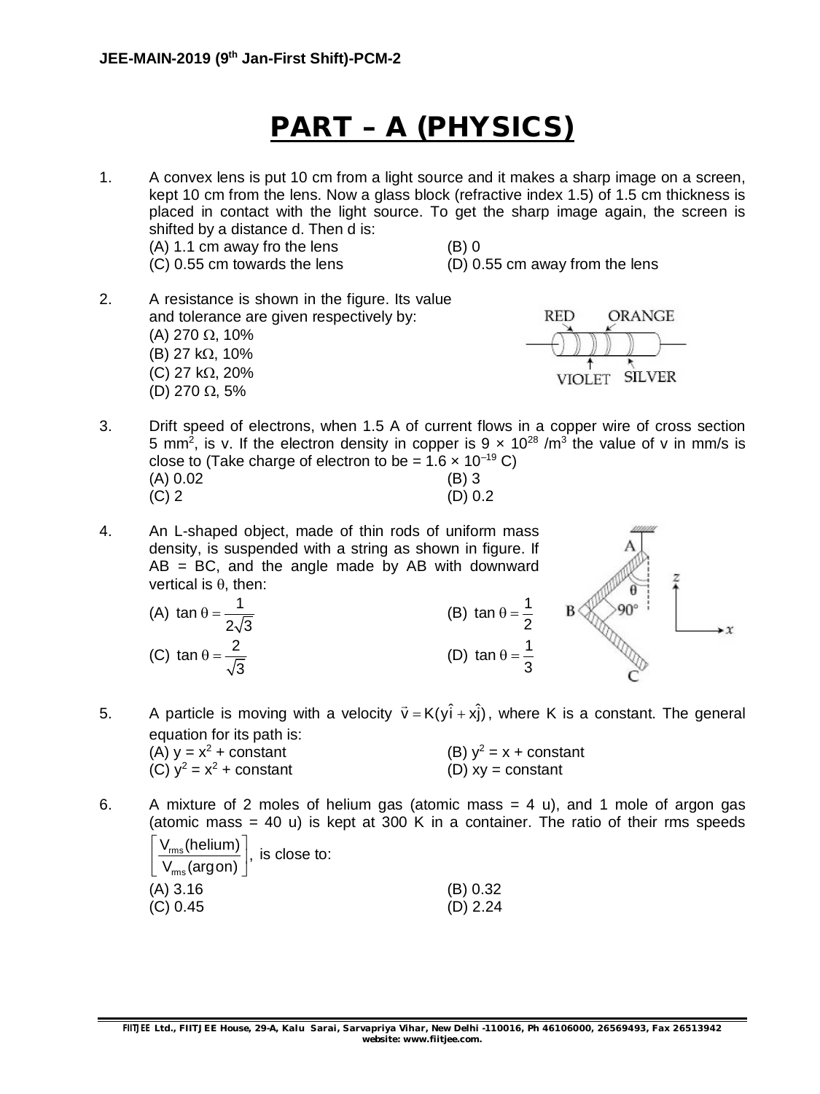### **PART – A (PHYSICS)**

1. A convex lens is put 10 cm from a light source and it makes a sharp image on a screen, kept 10 cm from the lens. Now a glass block (refractive index 1.5) of 1.5 cm thickness is placed in contact with the light source. To get the sharp image again, the screen is shifted by a distance d. Then d is:  $(A)$  1.1 cm away fro the lens  $(B)$  0 (C) 0.55 cm towards the lens (D) 0.55 cm away from the lens

2. A resistance is shown in the figure. Its value and tolerance are given respectively by: (A) 270  $\Omega$ , 10% (B) 27 k $\Omega$ , 10% (C) 27 k $\Omega$ , 20% (D) 270  $\Omega$ , 5%



- 3. Drift speed of electrons, when 1.5 A of current flows in a copper wire of cross section 5 mm<sup>2</sup>, is v. If the electron density in copper is 9  $\times$  10<sup>28</sup> /m<sup>3</sup> the value of v in mm/s is close to (Take charge of electron to be =  $1.6 \times 10^{-19}$  C) (A) 0.02 (B) 3<br>(C) 2 (D) 0.  $(D) 0.2$
- 4. An L-shaped object, made of thin rods of uniform mass density, is suspended with a string as shown in figure. If  $AB = BC$ , and the angle made by AB with downward vertical is  $\theta$ , then:
	- (A) tan  $\theta = \frac{1}{\sqrt{2}}$  $2\sqrt{3}$  $\theta = \frac{1}{\sqrt{5}}$  (B) tan  $\theta = \frac{1}{2}$ (C) tan  $\theta = \frac{2}{\sqrt{2}}$ 3  $\theta = \frac{2}{\sqrt{2}}$  (D) tan  $\theta = \frac{1}{2}$



5. A particle is moving with a velocity  $\vec{v} = K(y\hat{i} + x\hat{j})$ , where K is a constant. The general equation for its path is:

 $\theta = -$ 

 $\theta = -$ 

| (A) $y = x^2 + constant$   | (B) $y^2 = x + constant$ |
|----------------------------|--------------------------|
| (C) $y^2 = x^2$ + constant | (D) $xy = constant$      |

6. A mixture of 2 moles of helium gas (atomic mass  $= 4$  u), and 1 mole of argon gas (atomic mass  $= 40$  u) is kept at 300 K in a container. The ratio of their rms speeds

| $\left  \frac{\mathsf{V}_{\mathsf{rms}}(\mathsf{helium})}{\mathsf{I}} \right $ , is close to: |            |
|-----------------------------------------------------------------------------------------------|------------|
| $\left\lfloor \frac{m s}{V_{\text{rms}}(\text{argon})} \right\rfloor$                         |            |
| (A) 3.16                                                                                      | (B) 0.32   |
| (C) 0.45                                                                                      | $(D)$ 2.24 |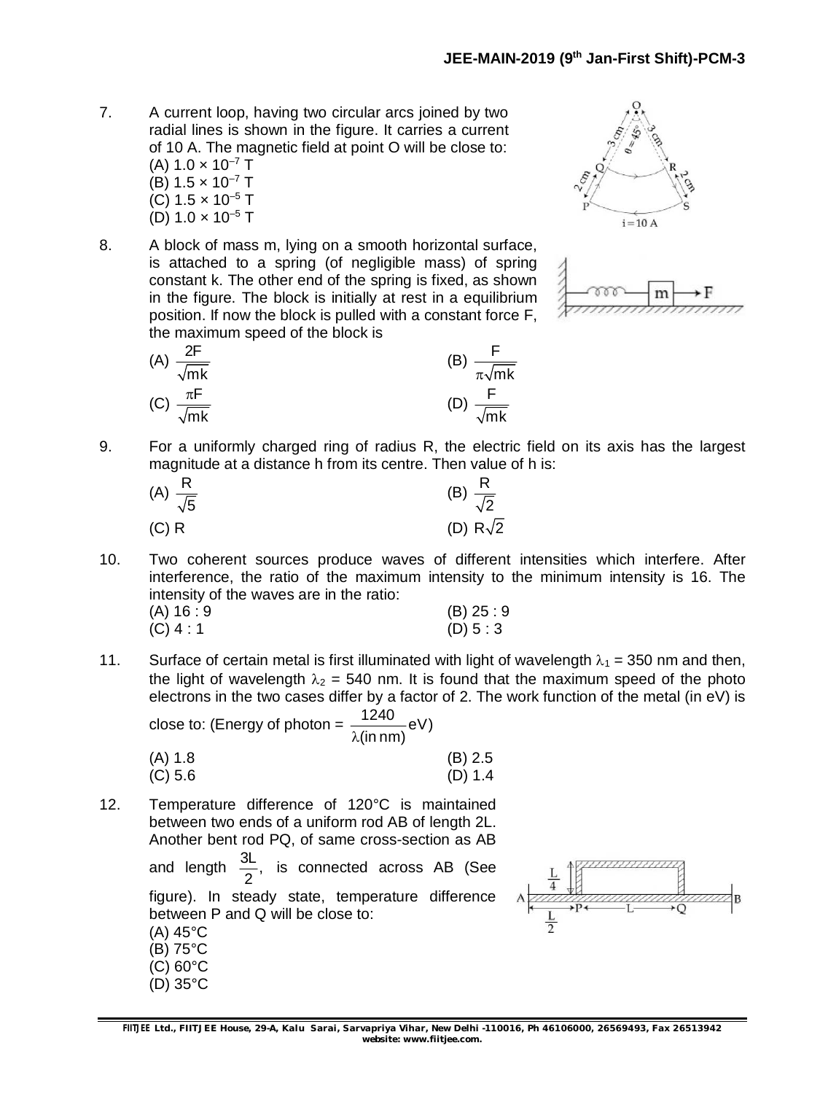- 7. A current loop, having two circular arcs joined by two radial lines is shown in the figure. It carries a current of 10 A. The magnetic field at point O will be close to: (A)  $1.0 \times 10^{-7}$  T (B)  $1.5 \times 10^{-7}$  T (C)  $1.5 \times 10^{-5}$  T (D)  $1.0 \times 10^{-5}$  T
- 8. A block of mass m, lying on a smooth horizontal surface, is attached to a spring (of negligible mass) of spring constant k. The other end of the spring is fixed, as shown in the figure. The block is initially at rest in a equilibrium position. If now the block is pulled with a constant force F, the maximum speed of the block is

(A) 
$$
\frac{2F}{\sqrt{mk}}
$$
 (B)  $\frac{F}{\pi\sqrt{mk}}$   
(C)  $\frac{\pi F}{\sqrt{mk}}$  (D)  $\frac{F}{\sqrt{mk}}$ 





9. For a uniformly charged ring of radius R, the electric field on its axis has the largest magnitude at a distance h from its centre. Then value of h is:

| (A) $\frac{R}{\sqrt{5}}$ | (B) $\frac{R}{\sqrt{2}}$ |
|--------------------------|--------------------------|
| (C) R                    | (D) $R\sqrt{2}$          |

10. Two coherent sources produce waves of different intensities which interfere. After interference, the ratio of the maximum intensity to the minimum intensity is 16. The intensity of the waves are in the ratio: (A) 16 : 9 (B) 25 : 9

| (A) 16 : 9  | (B) 25: |
|-------------|---------|
| $(C)$ 4 : 1 | (D) 5:3 |

11. Surface of certain metal is first illuminated with light of wavelength  $\lambda_1 = 350$  nm and then, the light of wavelength  $\lambda_2 = 540$  nm. It is found that the maximum speed of the photo electrons in the two cases differ by a factor of 2. The work function of the metal (in eV) is

close to: (Energy of photon =  $\frac{1240}{\sqrt{2}}$ eV)

|         | ີ | $\lambda$ (in nm) |         |
|---------|---|-------------------|---------|
| (A) 1.8 |   |                   | (B) 2.5 |
| (C) 5.6 |   |                   | (D) 1.4 |

12. Temperature difference of 120°C is maintained between two ends of a uniform rod AB of length 2L. Another bent rod PQ, of same cross-section as AB

> and length  $\frac{3L}{6}$ , 2 is connected across AB (See figure). In steady state, temperature difference between P and Q will be close to:

(A) 45°C (B) 75°C

- (C) 60°C
- (D) 35°C

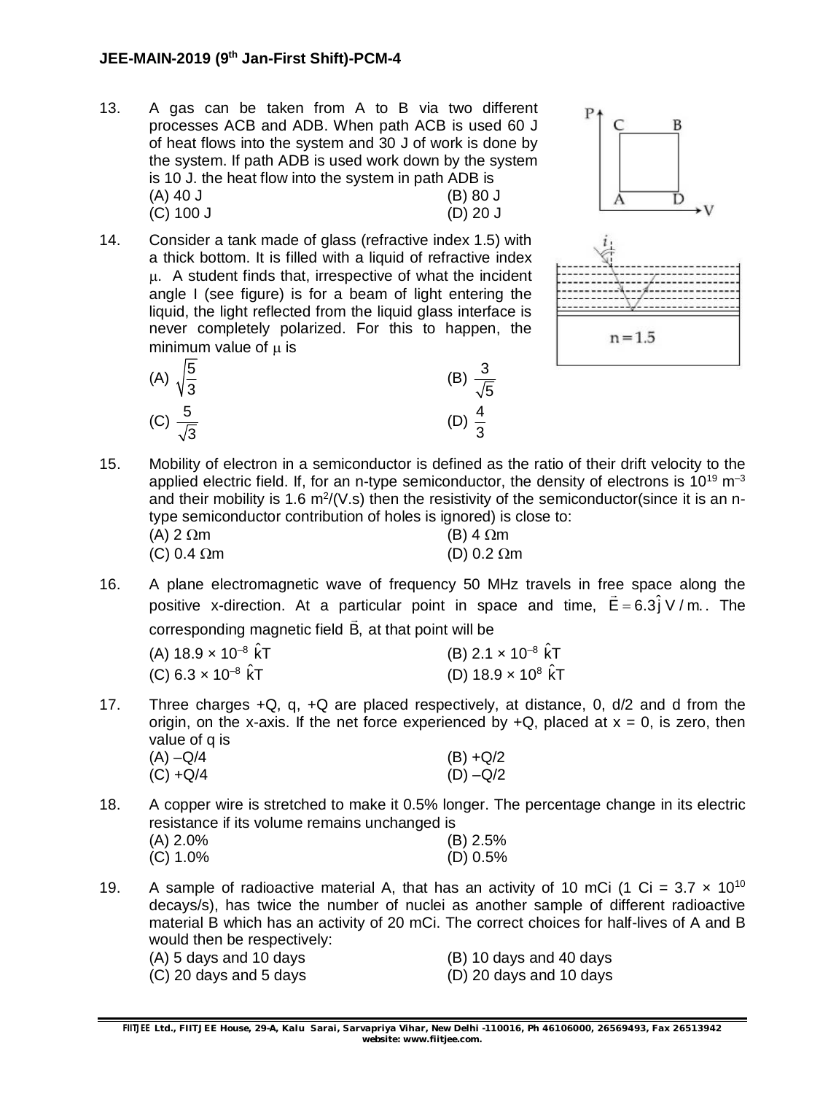- 13. A gas can be taken from A to B via two different processes ACB and ADB. When path ACB is used 60 J of heat flows into the system and 30 J of work is done by the system. If path ADB is used work down by the system is 10 J. the heat flow into the system in path ADB is (A) 40 J (B) 80 J (C) 100 J (D) 20 J
- 14. Consider a tank made of glass (refractive index 1.5) with a thick bottom. It is filled with a liquid of refractive index . A student finds that, irrespective of what the incident angle I (see figure) is for a beam of light entering the liquid, the light reflected from the liquid glass interface is never completely polarized. For this to happen, the minimum value of  $\mu$  is





15. Mobility of electron in a semiconductor is defined as the ratio of their drift velocity to the applied electric field. If, for an n-type semiconductor, the density of electrons is  $10^{19}$  m<sup>-3</sup> and their mobility is 1.6 m<sup>2</sup>/(V.s) then the resistivity of the semiconductor(since it is an ntype semiconductor contribution of holes is ignored) is close to:

| (A) 2 $\Omega$ m   | (B) 4 $\Omega$ m   |
|--------------------|--------------------|
| (C) 0.4 $\Omega$ m | (D) 0.2 $\Omega$ m |

16. A plane electromagnetic wave of frequency 50 MHz travels in free space along the positive x-direction. At a particular point in space and time,  $\vec{\mathsf{E}} = 6.3\hat{\mathsf{j}} \vee / \mathsf{m}$ . The corresponding magnetic field B,  $\ddot{\phantom{0}}$ at that point will be

| (A) 18.9 <b>×</b> 10 <sup>–8</sup> kT | (B) 2.1 $\times$ 10 <sup>-8</sup> kT |  |
|---------------------------------------|--------------------------------------|--|
| (C) 6.3 $\times$ 10 <sup>-8</sup> kT  | (D) $18.9 \times 10^8$ KT            |  |

- 17. Three charges  $+Q$ , q,  $+Q$  are placed respectively, at distance, 0,  $d/2$  and d from the origin, on the x-axis. If the net force experienced by  $+Q$ , placed at  $x = 0$ , is zero, then value of q is
	- (A)  $-Q/4$  (B)  $+Q/2$ <br>(C)  $+Q/4$  (D)  $-Q/2$  $(C) + Q/4$
- 18. A copper wire is stretched to make it 0.5% longer. The percentage change in its electric resistance if its volume remains unchanged is

| (A) 2.0% | $(B)$ 2.5% |
|----------|------------|
| (C) 1.0% | $(D)$ 0.5% |

- 19. A sample of radioactive material A, that has an activity of 10 mCi (1 Ci =  $3.7 \times 10^{10}$ decays/s), has twice the number of nuclei as another sample of different radioactive material B which has an activity of 20 mCi. The correct choices for half-lives of A and B would then be respectively:
	- $(A)$  5 days and 10 days  $(B)$  10 days and 40 days (C) 20 days and 5 days (D) 20 days and 10 days
		-
- 
-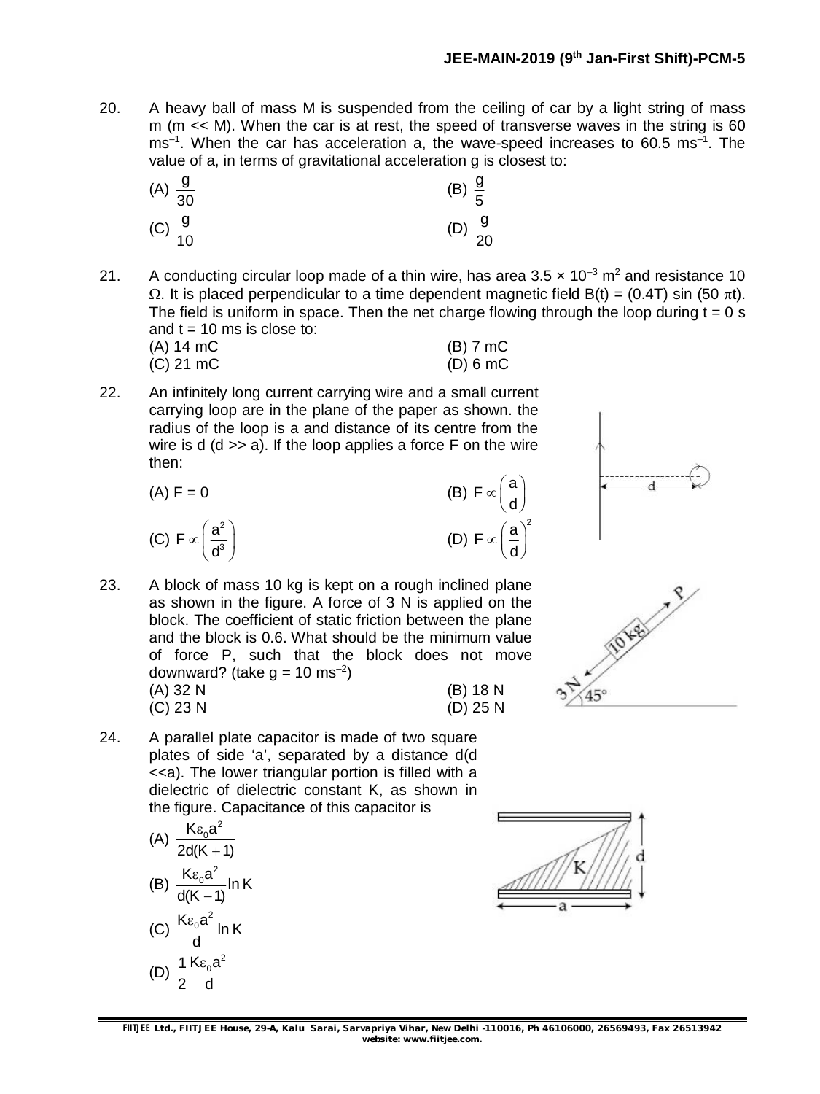20. A heavy ball of mass M is suspended from the ceiling of car by a light string of mass m (m << M). When the car is at rest, the speed of transverse waves in the string is 60 ms<sup>-1</sup>. When the car has acceleration a, the wave-speed increases to 60.5 ms<sup>-1</sup>. The value of a, in terms of gravitational acceleration g is closest to:

| (A) $\frac{9}{30}$ | (B) $\frac{9}{5}$  |
|--------------------|--------------------|
| (C) $\frac{9}{10}$ | (D) $\frac{9}{20}$ |

21. A conducting circular loop made of a thin wire, has area  $3.5 \times 10^{-3}$  m<sup>2</sup> and resistance 10  $\Omega$ . It is placed perpendicular to a time dependent magnetic field B(t) = (0.4T) sin (50  $\pi$ t). The field is uniform in space. Then the net charge flowing through the loop during  $t = 0$  s and  $t = 10$  ms is close to:

| (A) 14 mC | $(B)$ 7 mC  |
|-----------|-------------|
| (C) 21 mC | $(D) 6 $ mC |

22. An infinitely long current carrying wire and a small current carrying loop are in the plane of the paper as shown. the radius of the loop is a and distance of its centre from the wire is  $d$  ( $d \gg a$ ). If the loop applies a force F on the wire then:

(A) 
$$
F = 0
$$
  
\n(B)  $F \propto \left(\frac{a}{d}\right)$   
\n(C)  $F \propto \left(\frac{a^2}{d^3}\right)$   
\n(D)  $F \propto \left(\frac{a}{d}\right)^2$ 

- 23. A block of mass 10 kg is kept on a rough inclined plane as shown in the figure. A force of 3 N is applied on the block. The coefficient of static friction between the plane and the block is 0.6. What should be the minimum value of force P, such that the block does not move downward? (take  $g = 10 \text{ ms}^{-2}$ ) (A) 32 N (B) 18 N
	- (C) 23 N (D) 25 N
- 24. A parallel plate capacitor is made of two square plates of side 'a', separated by a distance d(d <<a). The lower triangular portion is filled with a dielectric of dielectric constant K, as shown in the figure. Capacitance of this capacitor is

(A) 
$$
\frac{K\epsilon_0 a^2}{2d(K+1)}
$$
  
\n(B) 
$$
\frac{K\epsilon_0 a^2}{d(K-1)} \ln K
$$
  
\n(C) 
$$
\frac{K\epsilon_0 a^2}{d} \ln K
$$
  
\n(D) 
$$
\frac{1}{2} \frac{K\epsilon_0 a^2}{d}
$$



**FIITJEE** *Ltd., FIITJEE House, 29-A, Kalu Sarai, Sarvapriya Vihar, New Delhi -110016, Ph 46106000, 26569493, Fax 26513942 website: [www.fiitjee.com.](http://www.fiitjee.com.)*



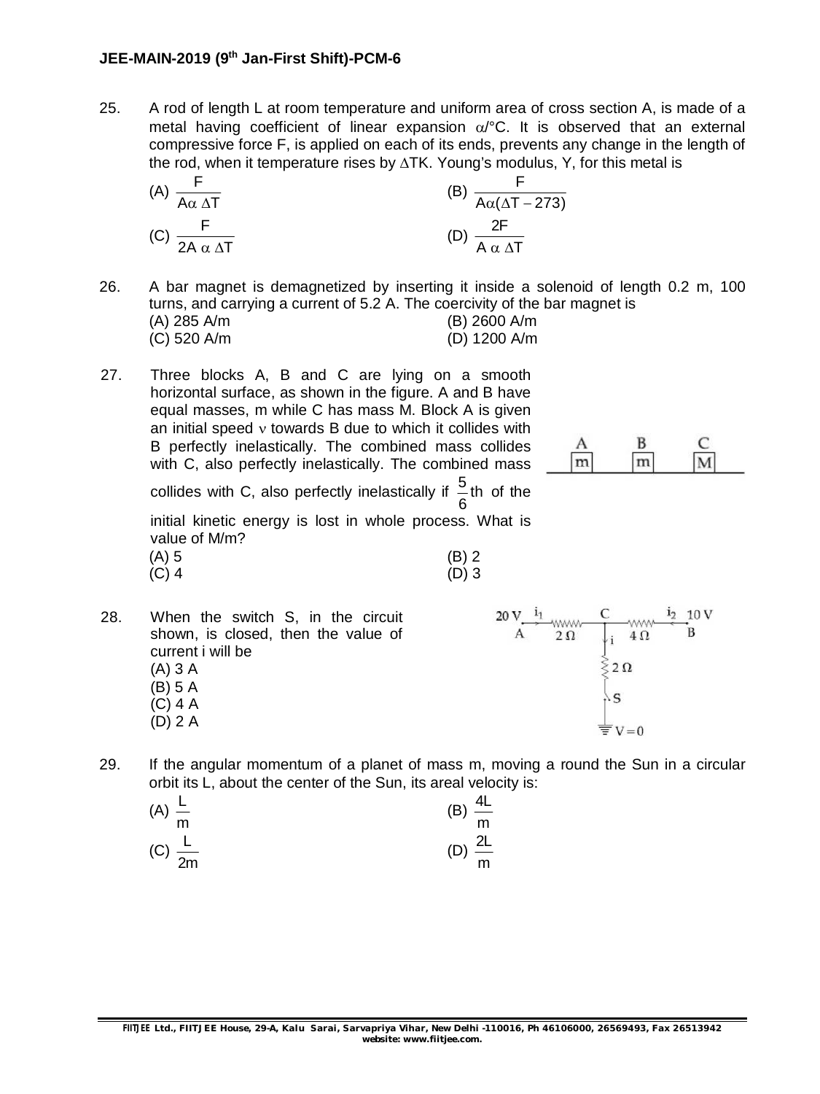#### **JEE-MAIN-2019 (9th Jan-First Shift)-PCM-6**

25. A rod of length L at room temperature and uniform area of cross section A, is made of a metal having coefficient of linear expansion  $\alpha$ <sup>o</sup>C. It is observed that an external compressive force F, is applied on each of its ends, prevents any change in the length of the rod, when it temperature rises by  $\Delta T K$ . Young's modulus, Y, for this metal is

(A) 
$$
\frac{F}{A\alpha \Delta T}
$$
  
\n(B)  $\frac{F}{A\alpha(\Delta T - 273)}$   
\n(C)  $\frac{F}{2A \alpha \Delta T}$   
\n(D)  $\frac{2F}{A \alpha \Delta T}$ 

26. A bar magnet is demagnetized by inserting it inside a solenoid of length 0.2 m, 100 turns, and carrying a current of 5.2 A. The coercivity of the bar magnet is

| (A) 285 A/m | (B) 2600 A/m |
|-------------|--------------|
| (C) 520 A/m | (D) 1200 A/m |

27. Three blocks A, B and C are lying on a smooth horizontal surface, as shown in the figure. A and B have equal masses, m while C has mass M. Block A is given an initial speed  $v$  towards B due to which it collides with B perfectly inelastically. The combined mass collides with C, also perfectly inelastically. The combined mass



collides with C, also perfectly inelastically if  $\frac{5}{6}$ th 6 of the

initial kinetic energy is lost in whole process. What is value of M/m?<br> $(4)$   $\overline{5}$ 

| (A) 5   | $(B)$ 2 |
|---------|---------|
| $(C)$ 4 | $(D)$ 3 |

- 20 V  $\frac{11}{A}$  www. C www. 28. When the switch S, in the circuit shown, is closed, then the value of current i will be  $\frac{1}{5}$  2  $\Omega$ (A) 3 A (B) 5 A  $\sqrt{S}$ (C) 4 A (D) 2 A  $\equiv$  V = 0
- 29. If the angular momentum of a planet of mass m, moving a round the Sun in a circular orbit its L, about the center of the Sun, its areal velocity is:

| (A) $\frac{L}{m}$  | $\frac{4L}{m}$<br>(B) |
|--------------------|-----------------------|
| (C) $\frac{L}{2m}$ | $\frac{2L}{m}$<br>(D) |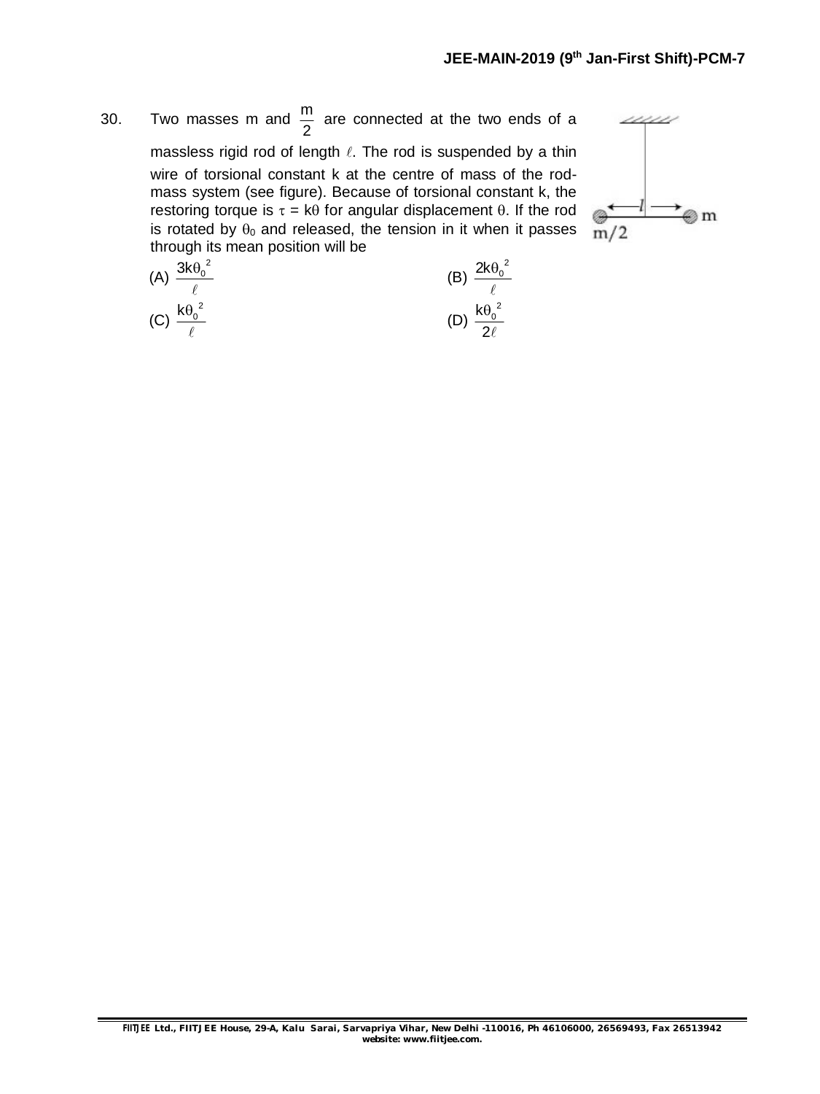30. Two masses m and  $\frac{m}{2}$ 2 are connected at the two ends of a massless rigid rod of length  $\ell$ . The rod is suspended by a thin wire of torsional constant k at the centre of mass of the rodmass system (see figure). Because of torsional constant k, the restoring torque is  $\tau = k\theta$  for angular displacement  $\theta$ . If the rod is rotated by  $\theta_0$  and released, the tension in it when it passes through its mean position will be

$$
\begin{array}{c}\n\swarrow \\
\hline\n\end{array}
$$

(A) 
$$
\frac{3k\theta_0^2}{\ell}
$$
 (B)  $\frac{2k\theta_0^2}{\ell}$   
(C)  $\frac{k\theta_0^2}{\ell}$  (D)  $\frac{k\theta_0^2}{2\ell}$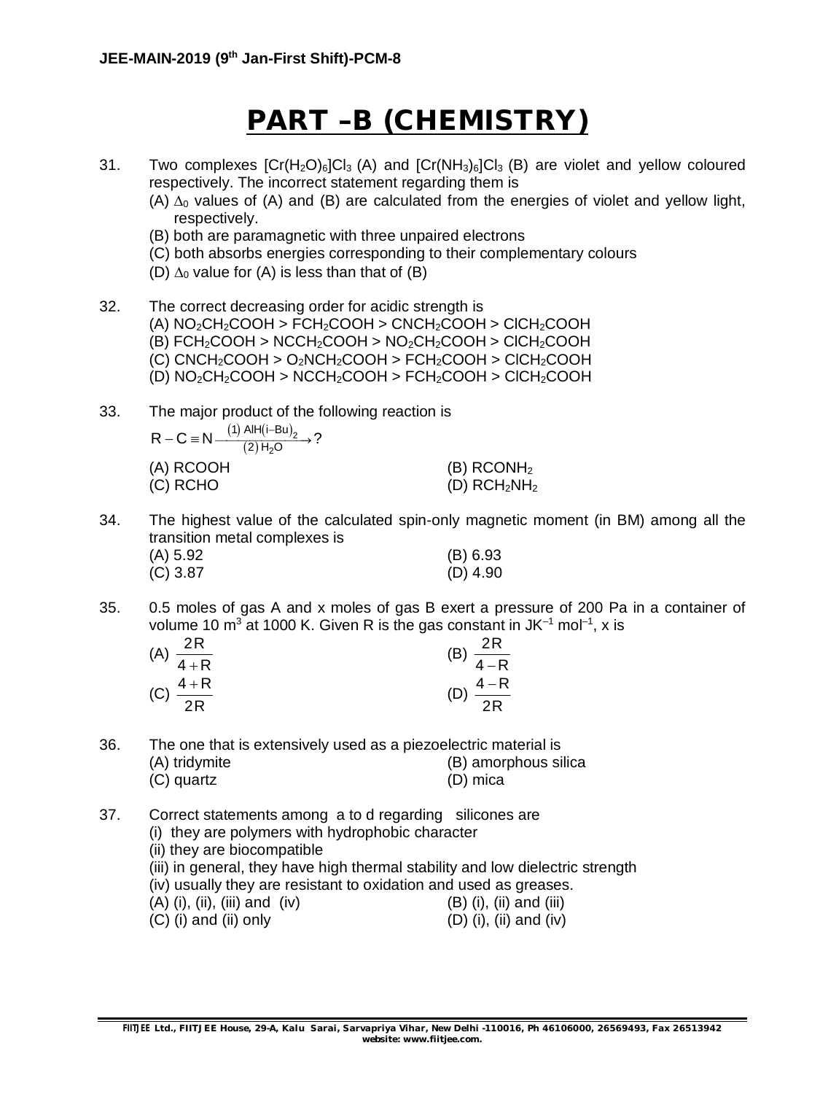## **PART –B (CHEMISTRY)**

- 31. Two complexes  $[Cr(H<sub>2</sub>O)<sub>6</sub>]Cl<sub>3</sub> (A)$  and  $[Cr(HH<sub>3</sub>)<sub>6</sub>]Cl<sub>3</sub> (B)$  are violet and yellow coloured respectively. The incorrect statement regarding them is
	- (A)  $\Delta_0$  values of (A) and (B) are calculated from the energies of violet and yellow light, respectively.
	- (B) both are paramagnetic with three unpaired electrons
	- (C) both absorbs energies corresponding to their complementary colours
	- (D)  $\Delta_0$  value for (A) is less than that of (B)
- 32. The correct decreasing order for acidic strength is (A)  $NO<sub>2</sub>CH<sub>2</sub>COOH > FCH<sub>2</sub>COOH > CNCH<sub>2</sub>COOH > ClCH<sub>2</sub>COOH$ (B)  $FCH<sub>2</sub>COOH > NCCH<sub>2</sub>COOH > NO<sub>2</sub>CH<sub>2</sub>COOH > CICH<sub>2</sub>COOH$ (C)  $CNCH_2COOH > O_2NCH_2COOH > FCH_2COOH > CICH_2COOH$ (D)  $NO<sub>2</sub>CH<sub>2</sub>COOH > NCCH<sub>2</sub>COOH > FCH<sub>2</sub>COOH > CICH<sub>2</sub>COOH$

33. The major product of the following reaction is

| $R - C \equiv N \frac{(1) \text{ All} (i-Bu)_2}{(2) H_2 O}$ ? |                          |
|---------------------------------------------------------------|--------------------------|
| (A) RCOOH                                                     | $(B)$ RCONH <sub>2</sub> |
| (C) RCHO                                                      | (D) $RCH2NH2$            |

34. The highest value of the calculated spin-only magnetic moment (in BM) among all the transition metal complexes is

| (A) 5.92 | (B) 6.93   |
|----------|------------|
| (C) 3.87 | $(D)$ 4.90 |

35. 0.5 moles of gas A and x moles of gas B exert a pressure of 200 Pa in a container of volume 10 m $^3$  at 1000 K. Given R is the gas constant in JK $^{-1}$  mol $^{-1}$ , x is

| 2R<br>(A)            | 2R                      |
|----------------------|-------------------------|
| $\overline{4+R}$     | (B)<br>$\overline{4-R}$ |
| (C) $\frac{4+R}{2R}$ | $\frac{4-R}{4}$         |
| 2R                   | 2R                      |

| 36. |               | The one that is extensively used as a piezoelectric material is |
|-----|---------------|-----------------------------------------------------------------|
|     | (A) tridymite | (B) amorphous silica                                            |
|     | (C) quartz    | (D) mica                                                        |

37. Correct statements among a to d regarding silicones are (i) they are polymers with hydrophobic character (ii) they are biocompatible (iii) in general, they have high thermal stability and low dielectric strength (iv) usually they are resistant to oxidation and used as greases.  $(A)$  (i), (ii), (iii) and (iv) (B) (i), (ii) and (iii)  $(C)$  (i) and (ii) only  $(D)$  (i), (ii) and (iv)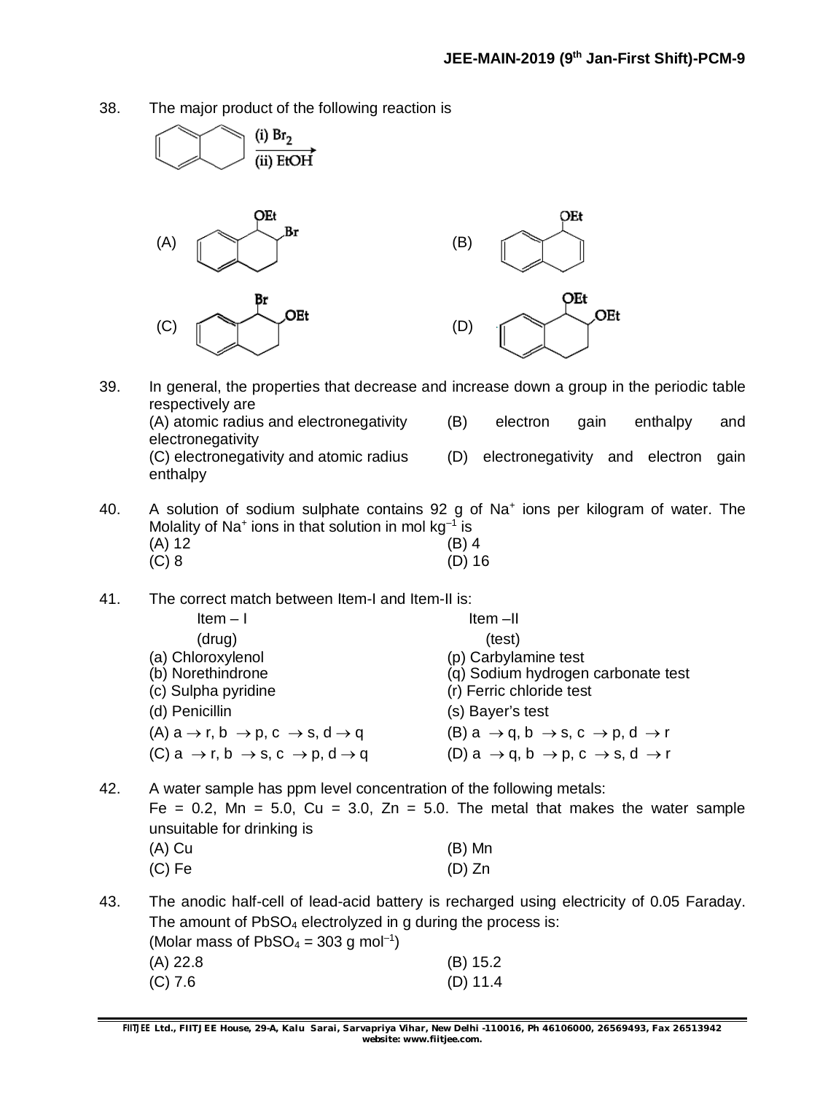38. The major product of the following reaction is

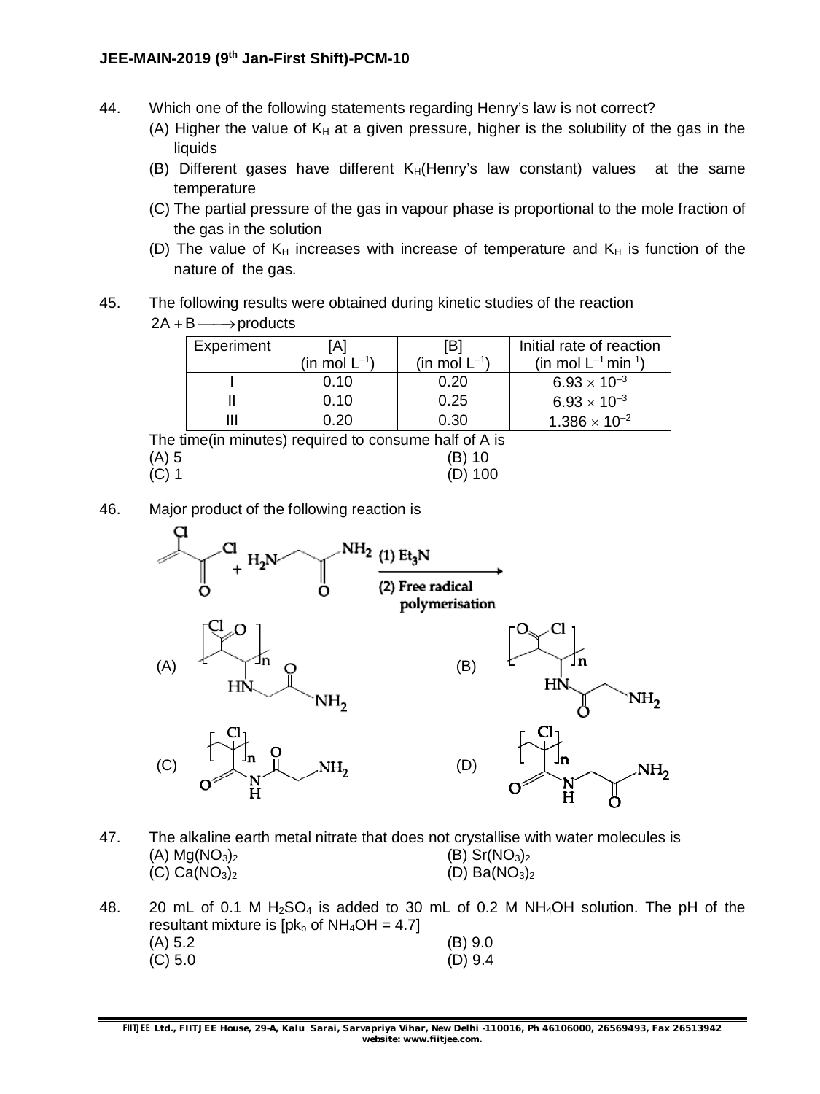- 44. Which one of the following statements regarding Henry's law is not correct?
	- (A) Higher the value of  $K_H$  at a given pressure, higher is the solubility of the gas in the liquids
	- (B) Different gases have different  $K_H$ (Henry's law constant) values at the same temperature
	- (C) The partial pressure of the gas in vapour phase is proportional to the mole fraction of the gas in the solution
	- (D) The value of  $K_H$  increases with increase of temperature and  $K_H$  is function of the nature of the gas.
- 45. The following results were obtained during kinetic studies of the reaction

 $2A + B \longrightarrow$  products

| Experiment        | [B]                                  |                               | Initial rate of reaction             |  |
|-------------------|--------------------------------------|-------------------------------|--------------------------------------|--|
|                   | (in mol $\mathsf{L}^{\mathsf{-1}}$ ) | (in mol $\mathsf{L}^{\!-1}$ ) | (in mol $L^{-1}$ min <sup>-1</sup> ) |  |
|                   | 0.10                                 | 0.20                          | $6.93 \times 10^{-3}$                |  |
|                   | 0.10                                 | 0.25                          | $6.93 \times 10^{-3}$                |  |
|                   | 0.20                                 | 0.30                          | $1.386 \times 10^{-2}$               |  |
| $\mathbf{r}$<br>. | $\sim$<br>.                          | .                             |                                      |  |

The time(in minutes) required to consume half of A is  $(A) 5$  (B) 10 (C) 1 (D) 100

46. Major product of the following reaction is



- 47. The alkaline earth metal nitrate that does not crystallise with water molecules is (A)  $Mg(NO_3)_2$  (B) Sr(NO<sub>3</sub>)<sub>2</sub> (C)  $Ca(NO_3)_2$  (D)  $Ba(NO_3)_2$
- 48. 20 mL of 0.1 M H<sub>2</sub>SO<sub>4</sub> is added to 30 mL of 0.2 M NH<sub>4</sub>OH solution. The pH of the resultant mixture is  $[pk_b$  of NH<sub>4</sub>OH = 4.7] (A) 5.2 (B) 9.0 (C) 5.0 (D) 9.4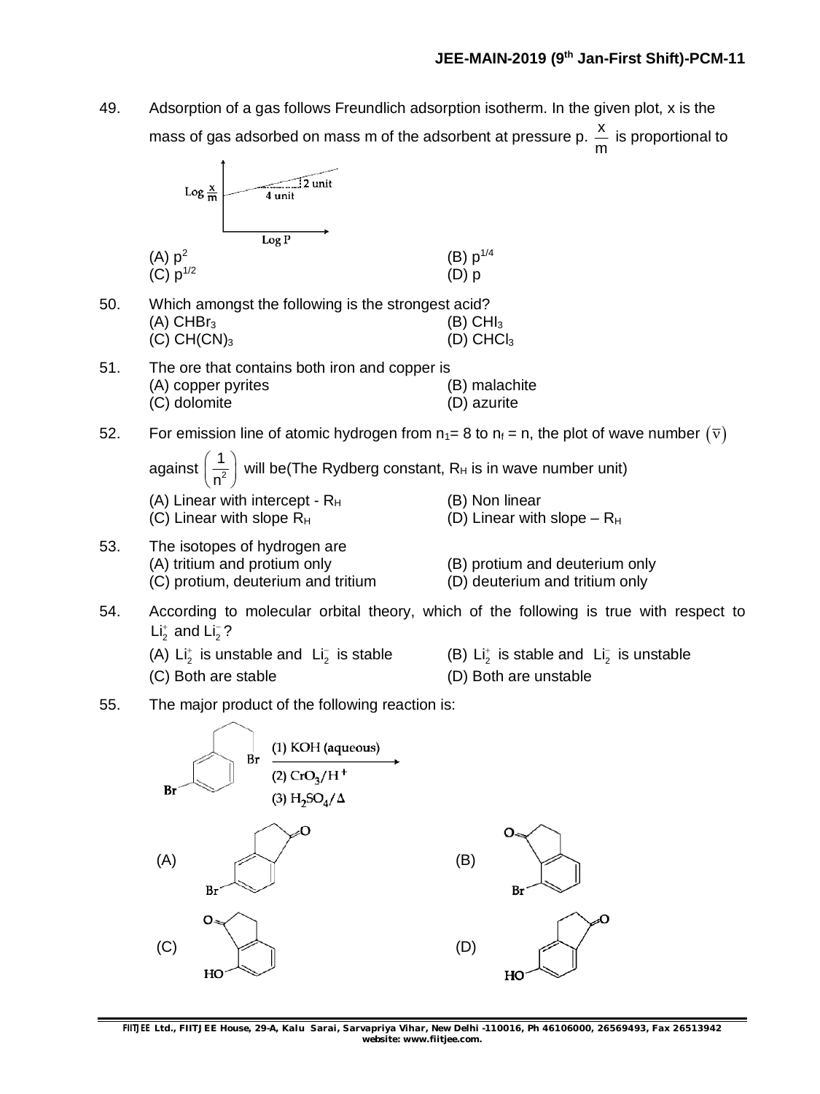49. Adsorption of a gas follows Freundlich adsorption isotherm. In the given plot, x is the mass of gas adsorbed on mass m of the adsorbent at pressure p.  $\frac{\text{x}}{}$ is proportional to

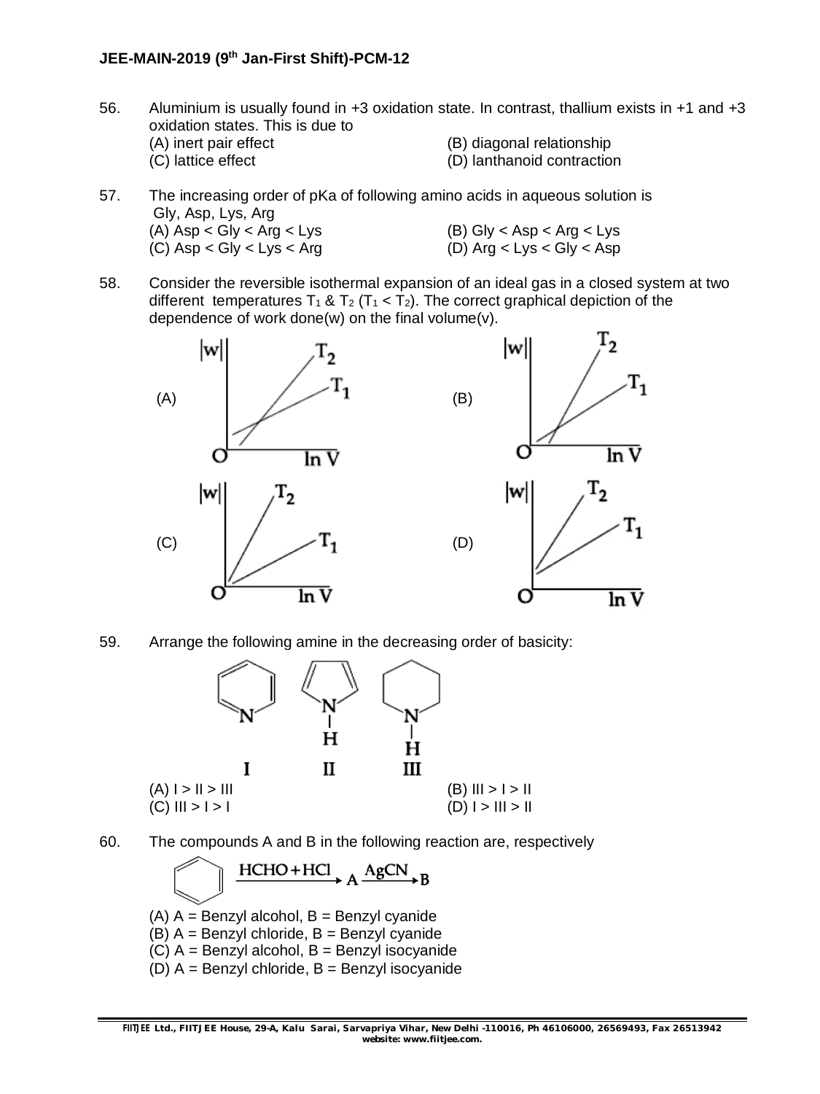#### **JEE-MAIN-2019 (9th Jan-First Shift)-PCM-12**

- 56. Aluminium is usually found in +3 oxidation state. In contrast, thallium exists in +1 and +3 oxidation states. This is due to (A) inert pair effect (B) diagonal relationship (C) lattice effect (D) lanthanoid contraction
- 57. The increasing order of pKa of following amino acids in aqueous solution is Gly, Asp, Lys, Arg (A)  $\text{Asp} < \text{Gly} < \text{Arg} < \text{Lys}$ <br>
(C)  $\text{Asp} < \text{Gly} < \text{Lvs} < \text{Arg}$ <br>
(C)  $\text{Asp} < \text{Gly} < \text{Lys}$  $(C)$  Asp  $<$  Gly  $<$  Lys  $<$  Arg
- 58. Consider the reversible isothermal expansion of an ideal gas in a closed system at two different temperatures  $T_1$  &  $T_2$  ( $T_1$  <  $T_2$ ). The correct graphical depiction of the dependence of work done(w) on the final volume(v).



59. Arrange the following amine in the decreasing order of basicity:



- 
- 60. The compounds A and B in the following reaction are, respectively

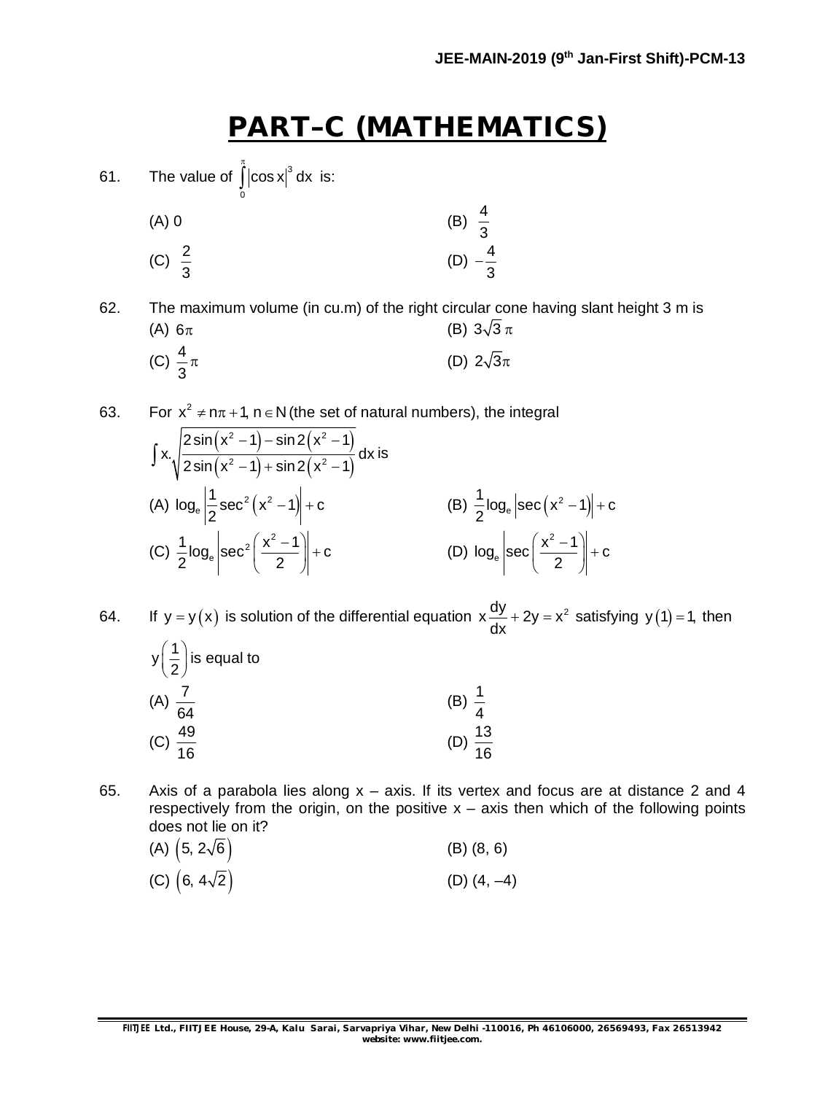### **PART–C (MATHEMATICS)**

61. The value of  $\int |\cos x|^3 dx$ 0 π  $\int |\cos x|^3 dx$  is:

(A) 0  
\n(B) 
$$
\frac{4}{3}
$$
  
\n(C)  $\frac{2}{3}$   
\n(D)  $-\frac{4}{3}$ 

62. The maximum volume (in cu.m) of the right circular cone having slant height 3 m is (A)  $6\pi$  (B)  $3\sqrt{3}\pi$ (C)  $\frac{4}{9}$ 3 (D)  $2\sqrt{3}\pi$ 

63. For  $x^2 \neq n\pi + 1$ ,  $n \in N$  (the set of natural numbers), the integral

$$
\int x.\sqrt{\frac{2\sin(x^2-1)-\sin 2(x^2-1)}{2\sin(x^2-1)+\sin 2(x^2-1)}} dx \text{ is}
$$
\n(A)  $\log_e \left| \frac{1}{2}\sec^2 (x^2-1) \right| + c$  \n(B)  $\frac{1}{2}\log_e \left| \sec (x^2-1) \right| + c$   
\n(C)  $\frac{1}{2}\log_e \left| \sec^2 \left( \frac{x^2-1}{2} \right) \right| + c$  \n(D)  $\log_e \left| \sec \left( \frac{x^2-1}{2} \right) \right| + c$ 

64. If  $y = y(x)$  is solution of the differential equation  $x \frac{dy}{dx} + 2y = x^2$  $\frac{dy}{dx}$  + 2y = x<sup>2</sup> satisfying y(1) = 1, then  $y\left(\frac{1}{2}\right)$  $\left(\frac{1}{2}\right)$ is equal to

- $(A)$  $\frac{7}{2}$ 64 (B)  $\frac{1}{4}$ 4  $(C) \frac{49}{16}$ 16 (D)  $\frac{13}{16}$ 16
- 65. Axis of a parabola lies along x axis. If its vertex and focus are at distance 2 and 4 respectively from the origin, on the positive  $x - a$ xis then which of the following points does not lie on it?

(A) 
$$
(5, 2\sqrt{6})
$$
 (B)  $(8, 6)$   
(C)  $(6, 4\sqrt{2})$  (D)  $(4, -4)$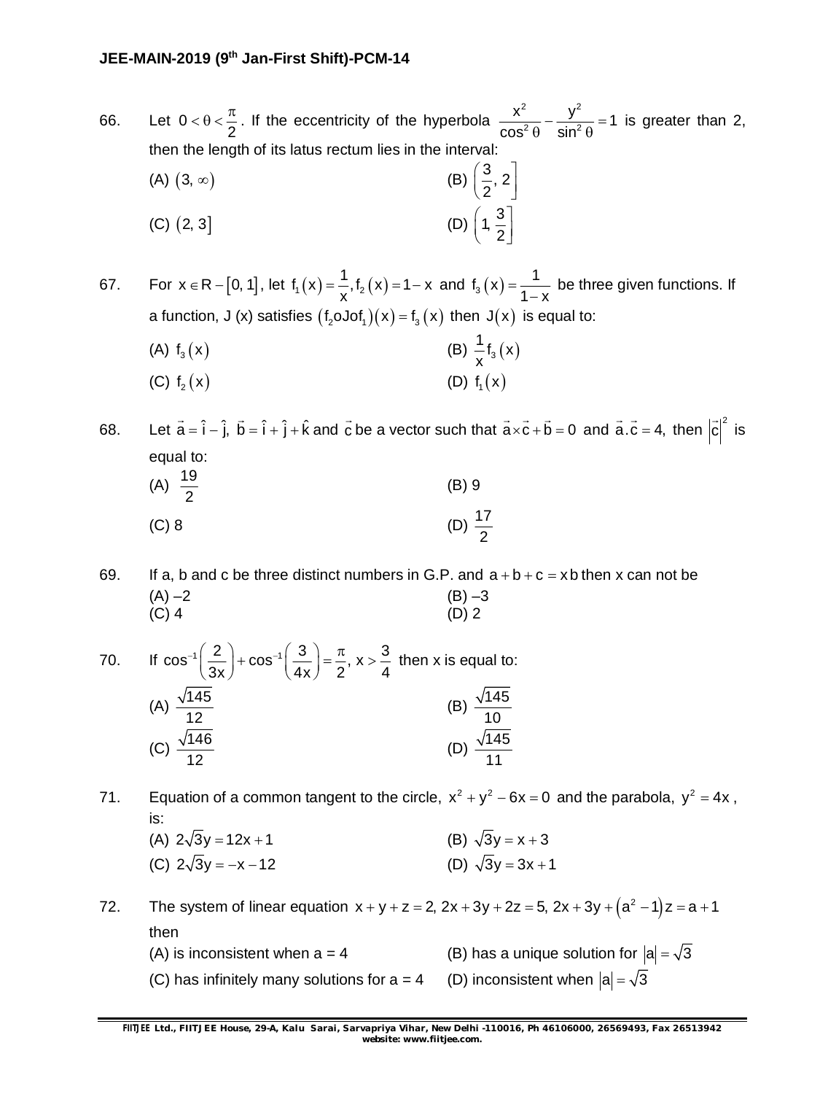66. Let 0 2  $<\theta<\frac{\pi}{6}$ . If the eccentricity of the hyperbola 2  $\sqrt{2}$  $\frac{x^2}{x^2} - \frac{y^2}{\sin^2 0} = 1$  $\cos^2 \theta$  sin  $-\frac{y}{2a} = 1$  $\theta$  sin<sup>2</sup> $\theta$ is greater than 2, then the length of its latus rectum lies in the interval:

(A) (3, 
$$
\infty
$$
)  
\n(B)  $\left(\frac{3}{2}, 2\right]$   
\n(C) (2, 3]  
\n(D)  $\left(1, \frac{3}{2}\right]$ 

67. For  $x \in R - [0, 1]$ , let  $f_1(x) = \frac{1}{x}$ ,  $f_2(x) = 1 - x$  $=\frac{1}{x}$ , f<sub>2</sub> (x) = 1 – x and f<sub>3</sub> (x) =  $\frac{1}{1-x}$  $1 - x$  $=$  $\overline{a}$ be three given functions. If a function, J (x) satisfies  $(f_2 \text{OJof}_1)(x) = f_3(x)$  then  $J(x)$  is equal to:

(A)  $f_3(x)$  (B)  $\frac{1}{x}f_3(x)$ x (C)  $f_2(x)$  (D)  $f_1(x)$ 

68. Let  $\vec{a} = \hat{i} - \hat{j}$ ,  $\vec{b} = \hat{i} + \hat{j} + \hat{k}$  and  $\vec{c}$  $\rightarrow$ be a vector such that  $a \times c + b = 0$  $\rightarrow$   $\rightarrow$   $\rightarrow$ and  $a.c = 4$ ,  $\rightarrow$   $\rightarrow$ then  $|\vec{c}|^2$  $\overline{\phantom{a}}$ is equal to: (A)  $\frac{19}{2}$ 2 (B) 9 (C) 8 (D)  $\frac{17}{3}$ 2

69. If a, b and c be three distinct numbers in G.P. and  $a + b + c = x$  b then x can not be  $(A) -2$  (B) –3  $(C)$  4 (D) 2

70. If 
$$
\cos^{-1}\left(\frac{2}{3x}\right) + \cos^{-1}\left(\frac{3}{4x}\right) = \frac{\pi}{2}
$$
,  $x > \frac{3}{4}$  then x is equal to:  
\n(A)  $\frac{\sqrt{145}}{12}$   
\n(B)  $\frac{\sqrt{145}}{10}$   
\n(C)  $\frac{\sqrt{146}}{12}$   
\n(D)  $\frac{\sqrt{145}}{11}$ 

- 71. Equation of a common tangent to the circle,  $x^2 + y^2 6x = 0$  and the parabola,  $y^2 = 4x$ , is:
	- (A)  $2\sqrt{3}y = 12x + 1$  (B)  $\sqrt{3}y = x + 3$ (C)  $2\sqrt{3}y = -x - 12$  (D)  $\sqrt{3}y = 3x + 1$

72. The system of linear equation  $x + y + z = 2$ ,  $2x + 3y + 2z = 5$ ,  $2x + 3y + (a^2 - 1)z = a + 1$ then (A) is inconsistent when a = 4 (B) has a unique solution for  $|a| = \sqrt{3}$ (C) has infinitely many solutions for a = 4 (D) inconsistent when  $|a| = \sqrt{3}$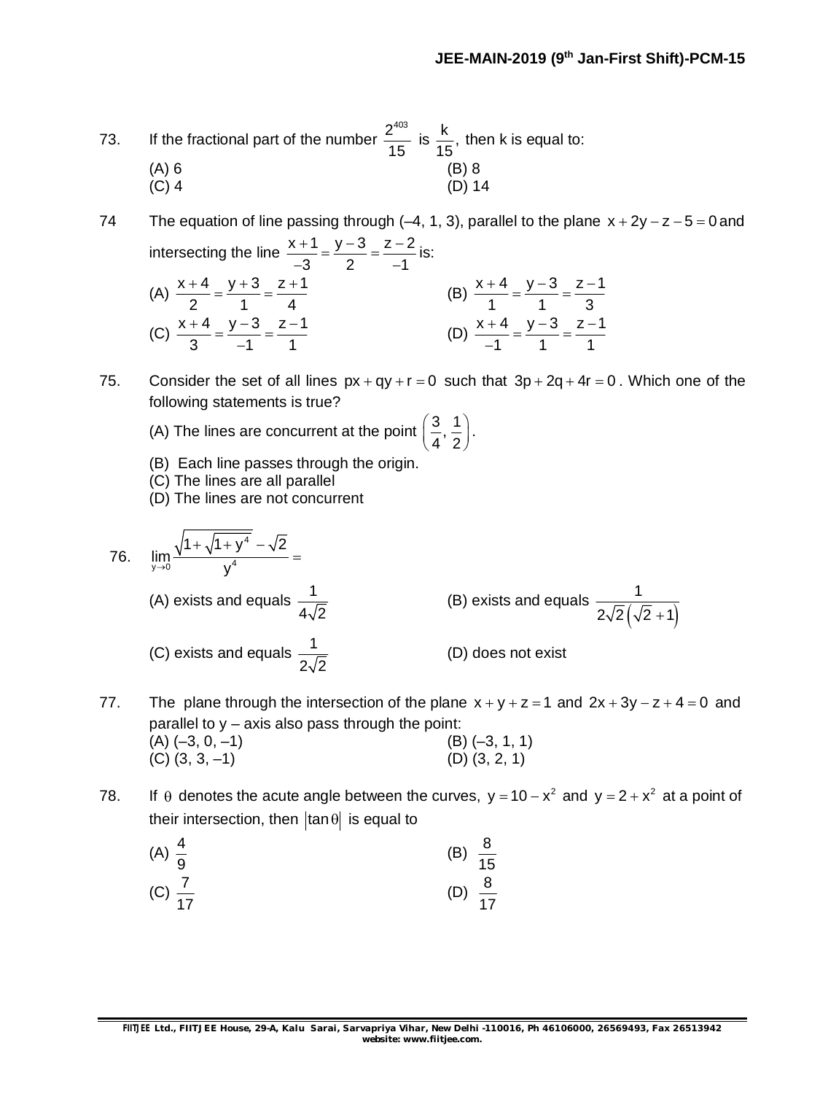1 1 1

 $\overline{\phantom{0}}$ 

73. If the fractional part of the number  $\frac{2^{403}}{15}$ 15 is  $\frac{k}{15}$ , 15 then k is equal to: (A) 6 (B) 8 (C) 4 (D) 14

74 The equation of line passing through  $(-4, 1, 3)$ , parallel to the plane  $x + 2y - z - 5 = 0$  and intersecting the line  $\frac{x+1}{2} = \frac{y-3}{3} = \frac{z-2}{4}$  $3 \t2 \t-1$  $\frac{+1}{2} = \frac{y-3}{2} = \frac{z-2}{4}$  $-3$  2  $-1$ is: (A)  $\frac{x+4}{2} = \frac{y+3}{1} = \frac{z+1}{1}$ 2 1 4 +4 y+3 z+1  $=\frac{y+3}{1}=\frac{z+1}{1}$  (B)  $\frac{x+4}{1}=\frac{y-3}{1}=\frac{z-1}{2}$ 1 1 3  $\frac{+4}{1} = \frac{y-3}{1} = \frac{z-1}{2}$ (C)  $\frac{x+4}{2} = \frac{y-3}{4} = \frac{z-1}{4}$  $\frac{+4}{2} = \frac{y-3}{4} = \frac{z-1}{4}$ (D)  $\frac{x+4}{1} = \frac{y-3}{1} = \frac{z-1}{1}$  $\frac{+4}{1} = \frac{y-3}{1} = \frac{z-1}{1}$ 

75. Consider the set of all lines  $px + qy + r = 0$  such that  $3p + 2q + 4r = 0$ . Which one of the following statements is true?

- (A) The lines are concurrent at the point  $\left(\frac{3}{2}, \frac{1}{2}\right)$  $\left(\frac{3}{4},\frac{1}{2}\right)$ .
- (B) Each line passes through the origin.
- (C) The lines are all parallel

 $3 -1 1$ 

-

(D) The lines are not concurrent

76. 
$$
\lim_{y \to 0} \frac{\sqrt{1 + \sqrt{1 + y^4}} - \sqrt{2}}{y^4} =
$$
  
(A) exists and equals  $\frac{1}{4\sqrt{2}}$   
(B) exists and equals  $\frac{1}{2\sqrt{2}(\sqrt{2} + 1)}$   
(C) exists and equals  $\frac{1}{2\sqrt{2}}$   
(D) does not exist

- 77. The plane through the intersection of the plane  $x + y + z = 1$  and  $2x + 3y z + 4 = 0$  and parallel to  $y - a$ xis also pass through the point: (A)  $(-3, 0, -1)$  (B)  $(-3, 1, 1)$ <br>(C)  $(3, 3, -1)$  (D)  $(3, 2, 1)$  $(C)$   $(3, 3, -1)$
- 78. If  $\theta$  denotes the acute angle between the curves,  $y = 10 x^2$  and  $y = 2 + x^2$  at a point of their intersection, then  $\tan \theta$  is equal to

(A) 
$$
\frac{4}{9}
$$
 (B)  $\frac{8}{15}$  (C)  $\frac{7}{17}$  (D)  $\frac{8}{17}$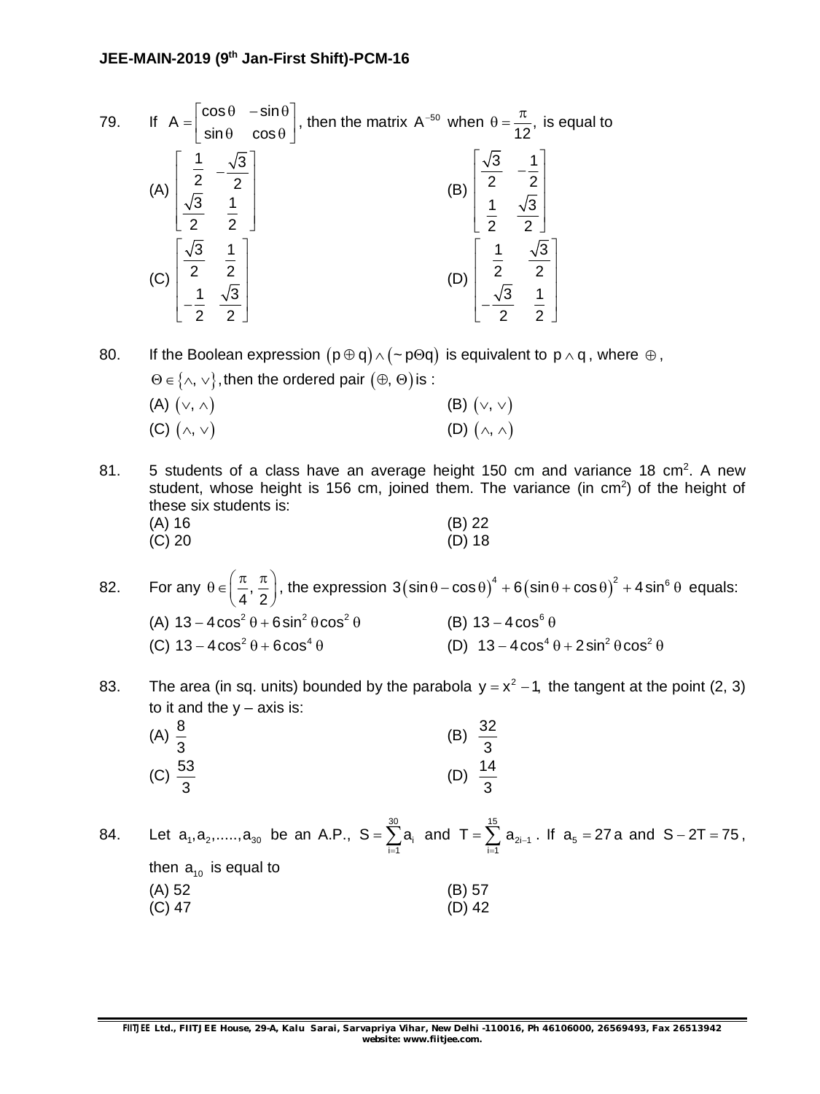79. If 
$$
A = \begin{bmatrix} \cos \theta & -\sin \theta \\ \sin \theta & \cos \theta \end{bmatrix}
$$
, then the matrix  $A^{-50}$  when  $\theta = \frac{\pi}{12}$ , is equal to  
\n(A)  $\begin{bmatrix} \frac{1}{2} & -\frac{\sqrt{3}}{2} \\ \frac{\sqrt{3}}{2} & \frac{1}{2} \end{bmatrix}$   
\n(B)  $\begin{bmatrix} \frac{\sqrt{3}}{2} & -\frac{1}{2} \\ \frac{1}{2} & \frac{\sqrt{3}}{2} \end{bmatrix}$   
\n(C)  $\begin{bmatrix} \frac{\sqrt{3}}{2} & \frac{1}{2} \\ -\frac{1}{2} & \frac{\sqrt{3}}{2} \end{bmatrix}$   
\n(D)  $\begin{bmatrix} \frac{1}{2} & \frac{\sqrt{3}}{2} \\ -\frac{\sqrt{3}}{2} & \frac{1}{2} \end{bmatrix}$ 

80. If the Boolean expression  $(p \oplus q) \wedge (\sim p \oplus q)$  is equivalent to  $p \wedge q$ , where  $\oplus$ ,  $\Theta \in \{\wedge, \vee\}$ , then the ordered pair  $(\oplus, \Theta)$  is : (A)  $(\vee, \wedge)$  (B)  $(\vee, \vee)$ 

| $(M)$ $(V, \wedge)$  | $(D)$ $(\vee, \vee)$   |
|----------------------|------------------------|
| (C) $(\wedge, \vee)$ | (D) $(\wedge, \wedge)$ |

- 81.  $\,$  5 students of a class have an average height 150 cm and variance 18 cm<sup>2</sup>. A new student, whose height is 156 cm, joined them. The variance (in cm<sup>2</sup>) of the height of these six students is: (A) 16 (B) 22 (C) 20 (D) 18  $(C) 20$
- 82. For any  $\theta \in \left[\frac{\pi}{4},\right]$  $\theta \in \left(\frac{\pi}{4}, \frac{\pi}{2}\right)$ , the expression  $3\left(\sin \theta - \cos \theta\right)^4 + 6\left(\sin \theta + \cos \theta\right)^2 + 4\sin^6 \theta$  equals: (A)  $13 - 4\cos^2\theta + 6\sin^2\theta\cos^2\theta$ (B)  $13 - 4\cos^6\theta$ (C)  $13 - 4\cos^2\theta + 6\cos^4\theta$  (D)  $13 - 4\cos^4\theta + 2\sin^2\theta\cos^2\theta$
- 83. The area (in sq. units) bounded by the parabola  $y = x^2 1$ , the tangent at the point (2, 3) to it and the  $y - axis$  is:

| (A) $\frac{8}{3}$ |                    | (B) | $\frac{32}{3}$ |
|-------------------|--------------------|-----|----------------|
|                   | (C) $\frac{53}{3}$ | (D) | $\frac{14}{3}$ |

84. Let  $a_1, a_2,....., a_{30}$  be an A.P., S =  $\sum^{30}$  $\sum_{i=1}^{\boldsymbol{\mathsf{u}}_i}$  $S = \sum a_i$  $=\sum_{i=1}^{30} a_i$  and  $T=\sum_{i=1}^{15}$  $T = \sum_{i=1}^{\infty} a_{2i-1}$ . If  $a_5 = 27a$  and  $S - 2T = 75$ , then  $a_{10}$  is equal to (A) 52 (B) 57 (B) 42 (C) 47 (D) 42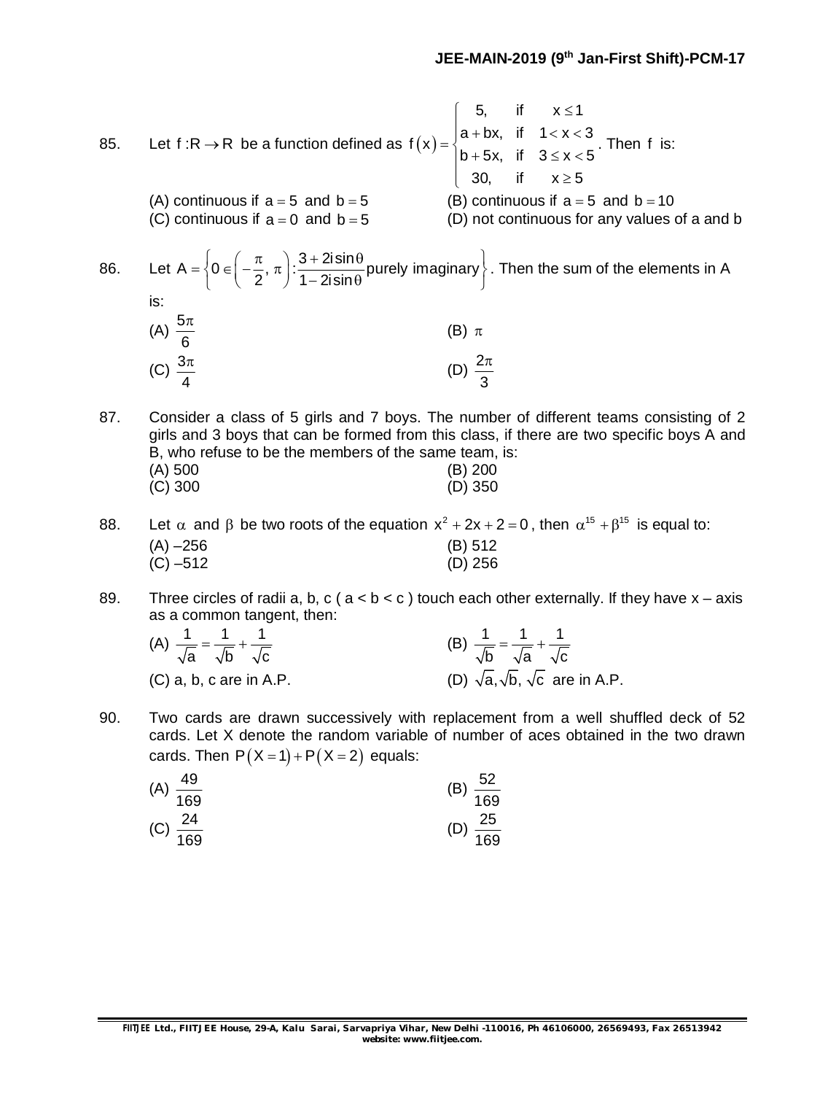85. Let f :R  $\rightarrow$  R be a function defined as  $f(x)$  =  $\langle$ 5, if  $x \le 1$  $f(x) = \begin{cases} a + bx, & \text{if } 1 < x < 3 \\ 1 & \text{if } 2 & \text{if } 3 \end{cases}$ b + 5x, if  $3 \le x < 5$  $\begin{cases} 30, & \text{if} \quad x \geq 5 \end{cases}$  $\begin{cases} 5, & \text{if} \quad x \leq$  $\int$  a + bx, if 1 < x < 3  $|b+5x$ , if  $3 \le x < 5$  $\mathbf{I}$ . Then f is: (A) continuous if  $a = 5$  and  $b = 5$  (B) continuous if  $a = 5$  and  $b = 10$ (C) continuous if  $a = 0$  and  $b = 5$  (D) not continuous for any values of a and b 86. Let A =  $\begin{cases} 0 \in \left(-\frac{\pi}{2}, \pi\right) : \frac{3 + 2i \sin \theta}{2} \text{ purely imaginary} \end{cases}$  $2^{\prime}$  1 - 2isin  $=\left\{0\in\left(-\frac{\pi}{2},\,\pi\right):\frac{3+2i\sin\theta}{1-2i\sin\theta}$  purely imaginary  $\right\}$ . Then the sum of the elements in A is:  $(A) \frac{5}{7}$ 6  $\pi$ (B)  $\pi$  $(C)$   $\frac{3}{2}$ 4  $\pi$ (D)  $\frac{2}{7}$ 3  $\pi$ 

87. Consider a class of 5 girls and 7 boys. The number of different teams consisting of 2 girls and 3 boys that can be formed from this class, if there are two specific boys A and B, who refuse to be the members of the same team, is: (A) 500 (B) 200 (C) 300 (D) 350

88. Let  $\alpha$  and  $\beta$  be two roots of the equation  $x^2 + 2x + 2 = 0$ , then  $\alpha^{15} + \beta^{15}$  is equal to: (A) –256 (B) 512  $(C) -512$ 

89. Three circles of radii a, b, c ( $a < b < c$ ) touch each other externally. If they have  $x - a$ xis as a common tangent, then:

| (A) $\frac{1}{\sqrt{a}} = \frac{1}{\sqrt{b}} + \frac{1}{\sqrt{c}}$ | (B) $\frac{1}{\sqrt{b}} = \frac{1}{\sqrt{a}} + \frac{1}{\sqrt{c}}$ |
|--------------------------------------------------------------------|--------------------------------------------------------------------|
| (C) a, b, c are in A.P.                                            | (D) $\sqrt{a}$ , $\sqrt{b}$ , $\sqrt{c}$ are in A.P.               |

90. Two cards are drawn successively with replacement from a well shuffled deck of 52 cards. Let X denote the random variable of number of aces obtained in the two drawn cards. Then  $P(X = 1) + P(X = 2)$  equals:

| $rac{52}{1}$<br>(B) |
|---------------------|
| $\overline{169}$    |
| $\frac{25}{1}$      |
| $\overline{169}$    |
|                     |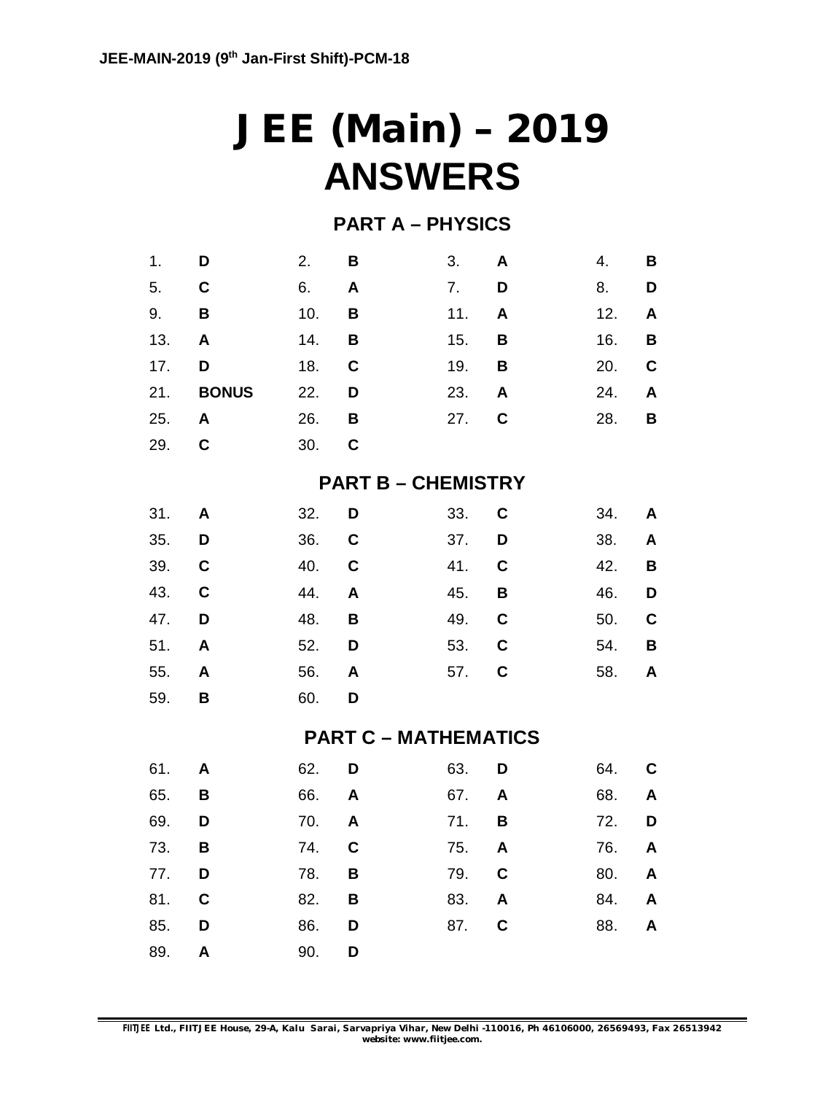## **JEE (Main) – 2019 ANSWERS**

### **PART A – PHYSICS**

| 1.  | D            | 2.  | B           | 3.                          | A           | 4.  | B |
|-----|--------------|-----|-------------|-----------------------------|-------------|-----|---|
| 5.  | $\mathbf c$  | 6.  | A           | 7.                          | D           | 8.  | D |
| 9.  | B            | 10. | B           | 11.                         | A           | 12. | A |
| 13. | A            | 14. | В           | 15.                         | В           | 16. | B |
| 17. | D            | 18. | $\mathbf C$ | 19.                         | B           | 20. | C |
| 21. | <b>BONUS</b> | 22. | D           | 23.                         | A           | 24. | A |
| 25. | A            | 26. | B           | 27.                         | C           | 28. | В |
| 29. | C            | 30. | C           |                             |             |     |   |
|     |              |     |             | <b>PART B - CHEMISTRY</b>   |             |     |   |
| 31. | A            | 32. | D           | 33.                         | C           | 34. | A |
| 35. | D            | 36. | $\mathbf c$ | 37.                         | D           | 38. | A |
| 39. | C            | 40. | $\mathbf C$ | 41.                         | C           | 42. | B |
| 43. | C            | 44. | A           | 45.                         | B           | 46. | D |
| 47. | D            | 48. | B           | 49.                         | C           | 50. | C |
| 51. | A            | 52. | D           | 53.                         | $\mathbf c$ | 54. | B |
| 55. | A            | 56. | A           | 57.                         | $\mathbf c$ | 58. | A |
| 59. | В            | 60. | D           |                             |             |     |   |
|     |              |     |             | <b>PART C - MATHEMATICS</b> |             |     |   |
| 61. | A            | 62. | D           | 63.                         | D           | 64. | C |
| 65. | В            | 66. | A           | 67.                         | A           | 68. | A |
| 69. | D            | 70. | A           | 71.                         | В           | 72. | D |
| 73. | B            | 74. | C           | 75.                         | A           | 76. | A |
| 77. | D            | 78. | B           | 79.                         | $\mathbf c$ | 80. | A |
| 81. | $\mathbf c$  | 82. | B           | 83.                         | A           | 84. | A |
| 85. | D            | 86. | D           | 87.                         | C           | 88. | A |
| 89. | A            | 90. | D           |                             |             |     |   |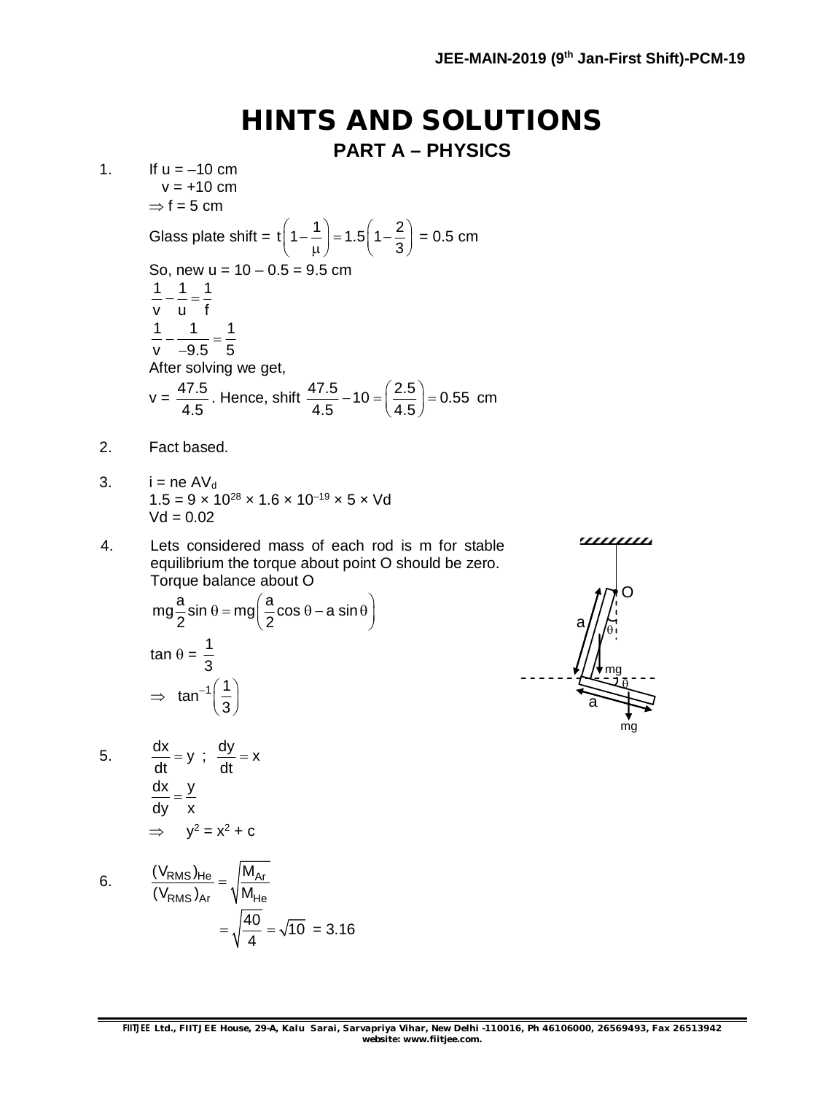### **HINTS AND SOLUTIONS**

**PART A – PHYSICS**

1. If  $u = -10$  cm  $v = +10$  cm  $\Rightarrow$  f = 5 cm Glass plate shift =  $t(1 - \frac{1}{2}) = 1.5(1 - \frac{2}{3})$  $\left(1 - \frac{1}{\mu}\right) = 1.5\left(1 - \frac{2}{3}\right) = 0.5$  cm So, new  $u = 10 - 0.5 = 9.5$  cm 1 1 1 v u f  $=$   $\frac{1}{2}$ 1 1 1  $v$   $-9.5$  5  $-\frac{1}{2}$  = --After solving we get,  $v = \frac{47.5}{15}$ 4.5 . Hence, shift  $\frac{47.5}{1.5} - 10 = \left(\frac{2.5}{1.5}\right) = 0.55$ 4.5 4.5  $-10 = \left(\frac{2.5}{4.5}\right) = 0.55$  cm 2. Fact based.

- 3.  $i = ne AV_d$  $1.5 = 9 \times 10^{28} \times 1.6 \times 10^{-19} \times 5 \times \text{Vd}$  $Vd = 0.02$
- 4. Lets considered mass of each rod is m for stable equilibrium the torque about point O should be zero. Torque balance about O

$$
mg\frac{a}{2}\sin\theta = mg\left(\frac{a}{2}\cos\theta - a\sin\theta\right)
$$
  
\ntan  $\theta = \frac{1}{3}$   
\n $\Rightarrow \tan^{-1}\left(\frac{1}{3}\right)$ 

5. 
$$
\frac{dx}{dt} = y \; ; \; \frac{dy}{dt} = x
$$

$$
\frac{dx}{dy} = \frac{y}{x}
$$

$$
\Rightarrow y^2 = x^2 + c
$$

6. 
$$
\frac{(\text{V}_{\text{RMS}})_{\text{He}}}{(\text{V}_{\text{RMS}})_{\text{Ar}}} = \sqrt{\frac{M_{\text{Ar}}}{M_{\text{He}}}} = \sqrt{\frac{40}{4}} = \sqrt{10} = 3.16
$$

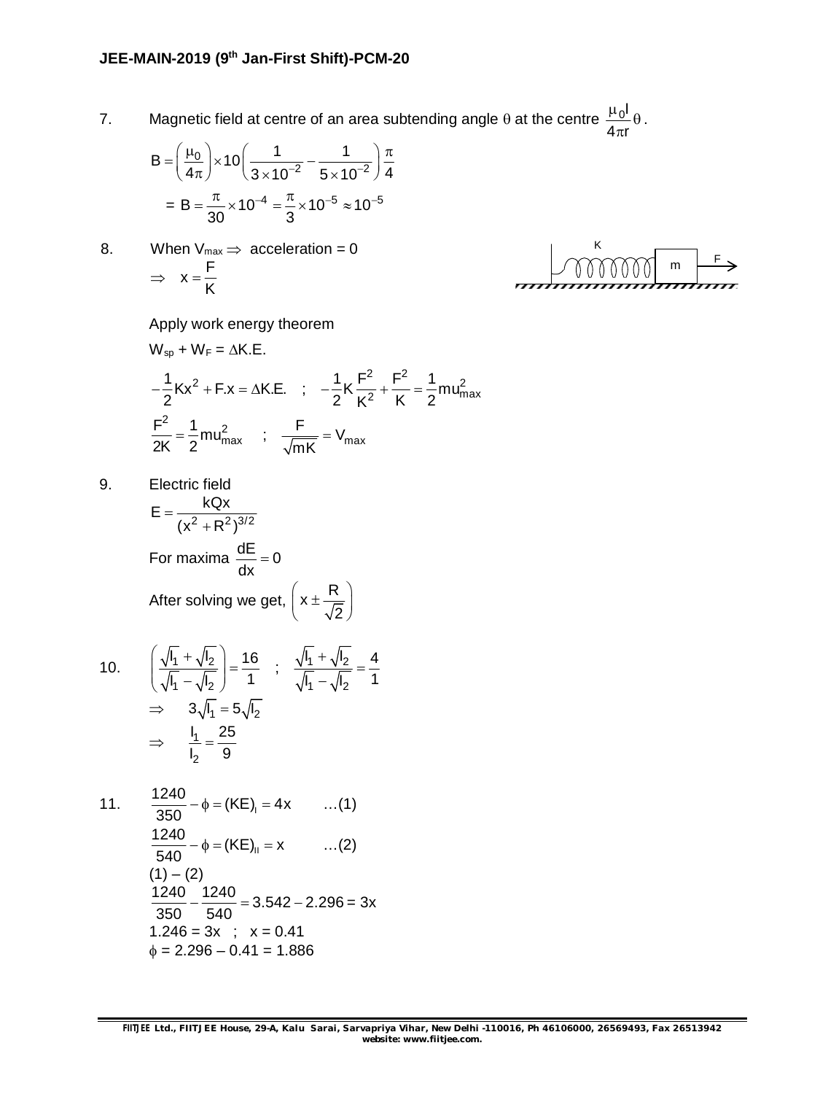7. Magnetic field at centre of an area subtending angle  $\theta$  at the centre  $\frac{\mu_0 I}{I}$  $4\pi$ r  $\frac{\mu_0 I}{4}$  $\theta$  $\pi$ 

$$
B = \left(\frac{\mu_0}{4\pi}\right) \times 10 \left(\frac{1}{3 \times 10^{-2}} - \frac{1}{5 \times 10^{-2}}\right) \frac{\pi}{4}
$$

$$
= B = \frac{\pi}{30} \times 10^{-4} = \frac{\pi}{3} \times 10^{-5} \approx 10^{-5}
$$

8. When  $V_{max} \Rightarrow$  acceleration = 0  $\Rightarrow$   $x = \frac{F}{F}$ K  $=$ 



.

Apply work energy theorem

$$
W_{sp} + W_{F} = \Delta K.E.
$$
  
\n
$$
-\frac{1}{2}Kx^{2} + F.x = \Delta K.E. \quad ; \quad -\frac{1}{2}K\frac{F^{2}}{K^{2}} + \frac{F^{2}}{K} = \frac{1}{2}mu_{max}^{2}
$$
  
\n
$$
\frac{F^{2}}{2K} = \frac{1}{2}mu_{max}^{2} \quad ; \quad \frac{F}{\sqrt{mK}} = V_{max}
$$

9. Electric field

$$
E = \frac{kQx}{(x^2 + R^2)^{3/2}}
$$
  
For maxima  $\frac{dE}{dx} = 0$   
After solving we get,  $\left(x \pm \frac{R}{\sqrt{2}}\right)$ 

10. 
$$
\left(\frac{\sqrt{l_1} + \sqrt{l_2}}{\sqrt{l_1} - \sqrt{l_2}}\right) = \frac{16}{1} \quad ; \quad \frac{\sqrt{l_1} + \sqrt{l_2}}{\sqrt{l_1} - \sqrt{l_2}} = \frac{4}{1}
$$

$$
\Rightarrow 3\sqrt{l_1} = 5\sqrt{l_2}
$$

$$
\Rightarrow \quad \frac{l_1}{l_2} = \frac{25}{9}
$$

11. 
$$
\frac{1240}{350} - \phi = (KE)_{1} = 4x \qquad ...(1)
$$

$$
\frac{1240}{540} - \phi = (KE)_{11} = x \qquad ...(2)
$$

$$
(1) - (2)
$$

$$
\frac{1240}{350} - \frac{1240}{540} = 3.542 - 2.296 = 3x
$$

$$
1.246 = 3x \qquad ; \quad x = 0.41
$$

$$
\phi = 2.296 - 0.41 = 1.886
$$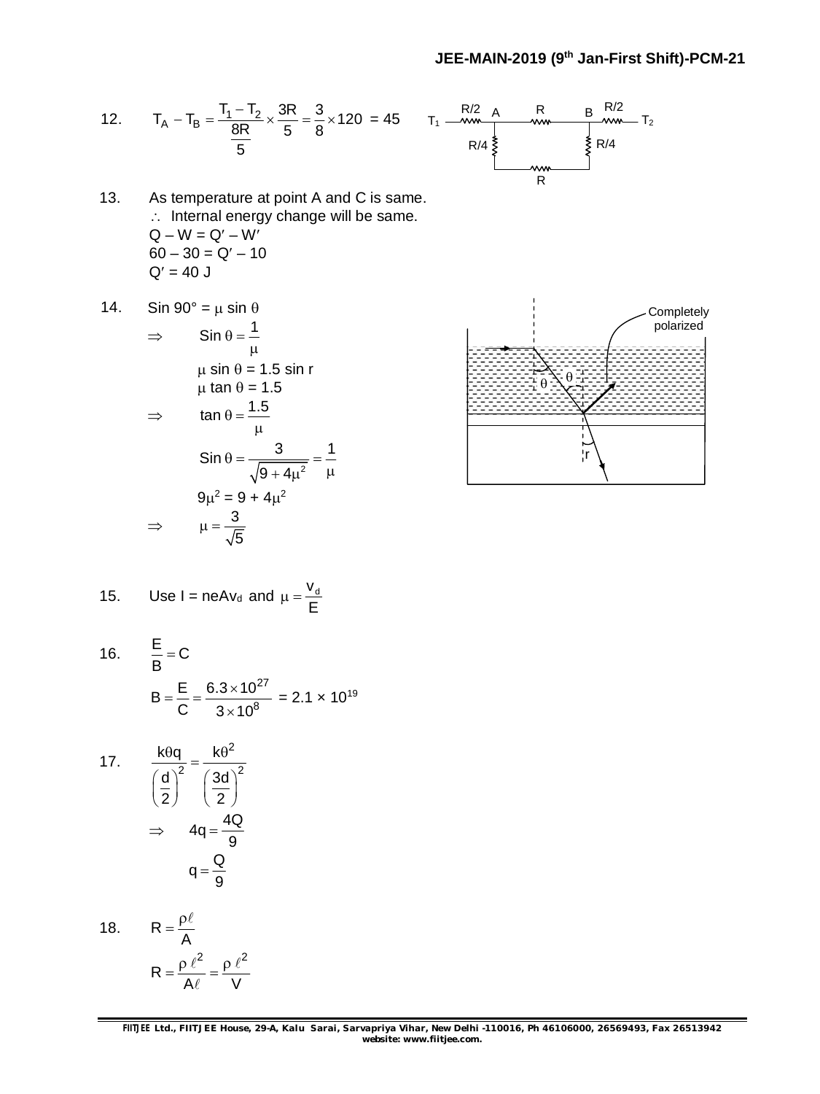12. 
$$
T_A - T_B = \frac{T_1 - T_2}{\frac{8R}{5}} \times \frac{3R}{5} = \frac{3}{8} \times 120 = 45
$$
  $T_1 = \frac{R/2}{\frac{8R}{5}}$   $\frac{R}{\frac{8}{5}}$   $\frac{R/2}{\frac{8}{5}}$   $\frac{R}{\frac{8}{5}}$   $\frac{R}{\frac{8}{5}}$   $\frac{R/2}{\frac{8}{5}}$   $\frac{R}{\frac{8}{5}}$   $\frac{R/4}{\frac{8}{5}}$ 



- 13. As temperature at point A and C is same.  $\therefore$  Internal energy change will be same.  $Q - W = Q' - W'$  $60 - 30 = Q' - 10$  $Q' = 40 J$
- 14. Sin  $90^\circ = \mu \sin \theta$

$$
\Rightarrow \quad \sin \theta = \frac{1}{\mu}
$$
  
\n
$$
\mu \sin \theta = 1.5 \sin r
$$
  
\n
$$
\mu \tan \theta = 1.5
$$
  
\n
$$
\Rightarrow \quad \tan \theta = \frac{1.5}{\mu}
$$
  
\n
$$
\sin \theta = \frac{3}{\sqrt{9 + 4\mu^2}} = \frac{1}{\mu}
$$
  
\n
$$
9\mu^2 = 9 + 4\mu^2
$$
  
\n
$$
\Rightarrow \quad \mu = \frac{3}{\sqrt{5}}
$$



15. Use I = 
$$
neAv_d
$$
 and  $\mu = \frac{V_d}{E}$ 

16. 
$$
\frac{E}{B} = C
$$
  
\n
$$
B = \frac{E}{C} = \frac{6.3 \times 10^{27}}{3 \times 10^8} = 2.1 \times 10^{19}
$$

17. 
$$
\frac{k\theta q}{\left(\frac{d}{2}\right)^2} = \frac{k\theta^2}{\left(\frac{3d}{2}\right)^2}
$$

$$
\Rightarrow 4q = \frac{4Q}{9}
$$

$$
q = \frac{Q}{9}
$$

18. 
$$
R = \frac{\rho \ell}{A}
$$

$$
R = \frac{\rho \ell^2}{A\ell} = \frac{\rho \ell^2}{V}
$$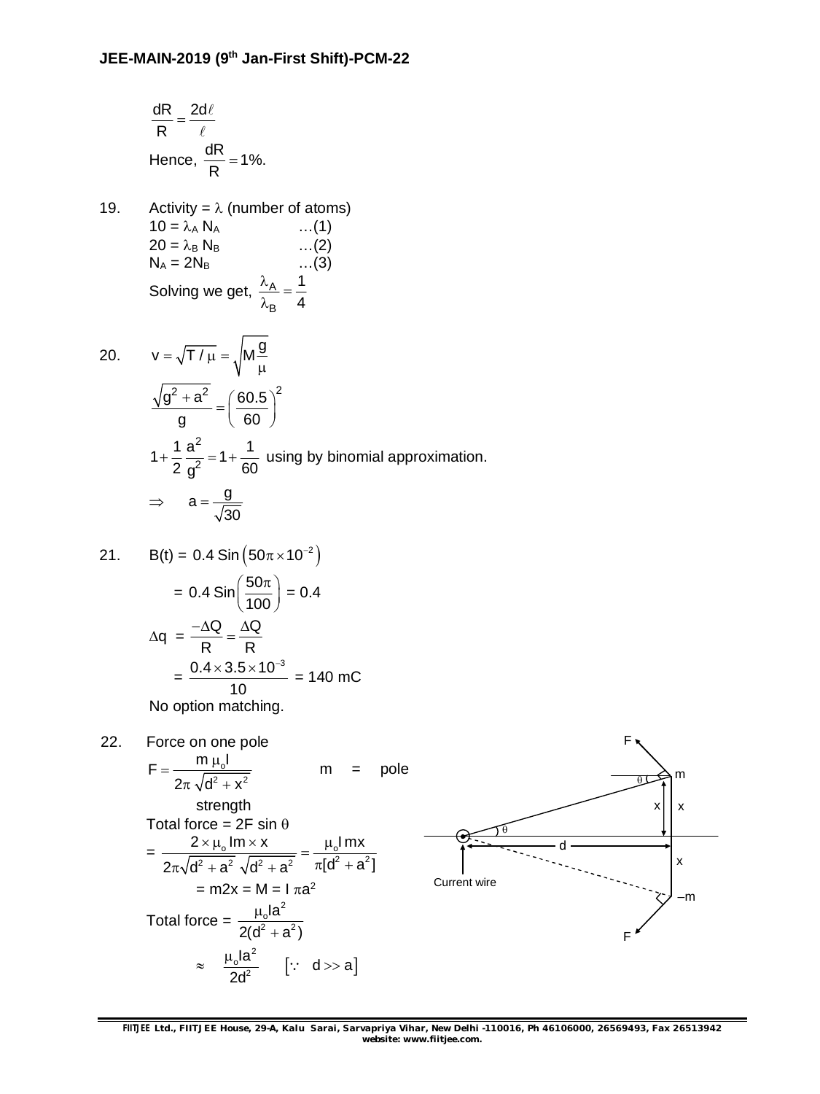$$
\frac{dR}{R} = \frac{2d\ell}{\ell}
$$
  
Hence,  $\frac{dR}{R} = 1\%.$ 

19. Activity =  $\lambda$  (number of atoms)  $10 = \lambda_A N_A$  ...(1)<br>  $20 = \lambda_B N_B$  ...(2)  $20 = \lambda_B N_B$  ...(2)<br>  $N_A = 2N_B$  ...(3)  $N_A = 2N_B$ Solving we get,  $\frac{R_{\rm A}}{R}$ B 1 4  $\frac{\lambda_{\mathsf{A}}}{\lambda_{\mathsf{B}}}$  =  $\lambda$ 

20. 
$$
v = \sqrt{T/\mu} = \sqrt{M\frac{g}{\mu}}
$$

$$
\frac{\sqrt{g^2 + a^2}}{g} = \left(\frac{60.5}{60}\right)^2
$$

$$
1 + \frac{1}{2}\frac{a^2}{g^2} = 1 + \frac{1}{60} \text{ using by binomial approximation.}
$$

$$
\Rightarrow a = \frac{g}{\sqrt{30}}
$$

21. 
$$
B(t) = 0.4 \sin(50\pi \times 10^{-2})
$$

$$
= 0.4 \sin(\frac{50\pi}{100}) = 0.4
$$

$$
\Delta q = \frac{-\Delta Q}{R} = \frac{\Delta Q}{R}
$$

$$
= \frac{0.4 \times 3.5 \times 10^{-3}}{10} = 140 \text{ mC}
$$

No option matching.

22. Force on one pole  
\n
$$
F = \frac{m \mu_0 I}{2\pi \sqrt{d^2 + x^2}}
$$
\n
$$
m = 1
$$
\nstrength  
\nTotal force = 2F sin θ  
\n
$$
= \frac{2 \times \mu_0 I m \times x}{2\pi \sqrt{d^2 + a^2} \sqrt{d^2 + a^2}} = \frac{\mu_0 I m x}{\pi [d^2 + a^2]}
$$
\n
$$
= m2x = M = I \pi a^2
$$
\nTotal force =  $\frac{\mu_0 I a^2}{2(d^2 + a^2)}$   
\n
$$
\approx \frac{\mu_0 I a^2}{2d^2} \quad [\because d > a]
$$

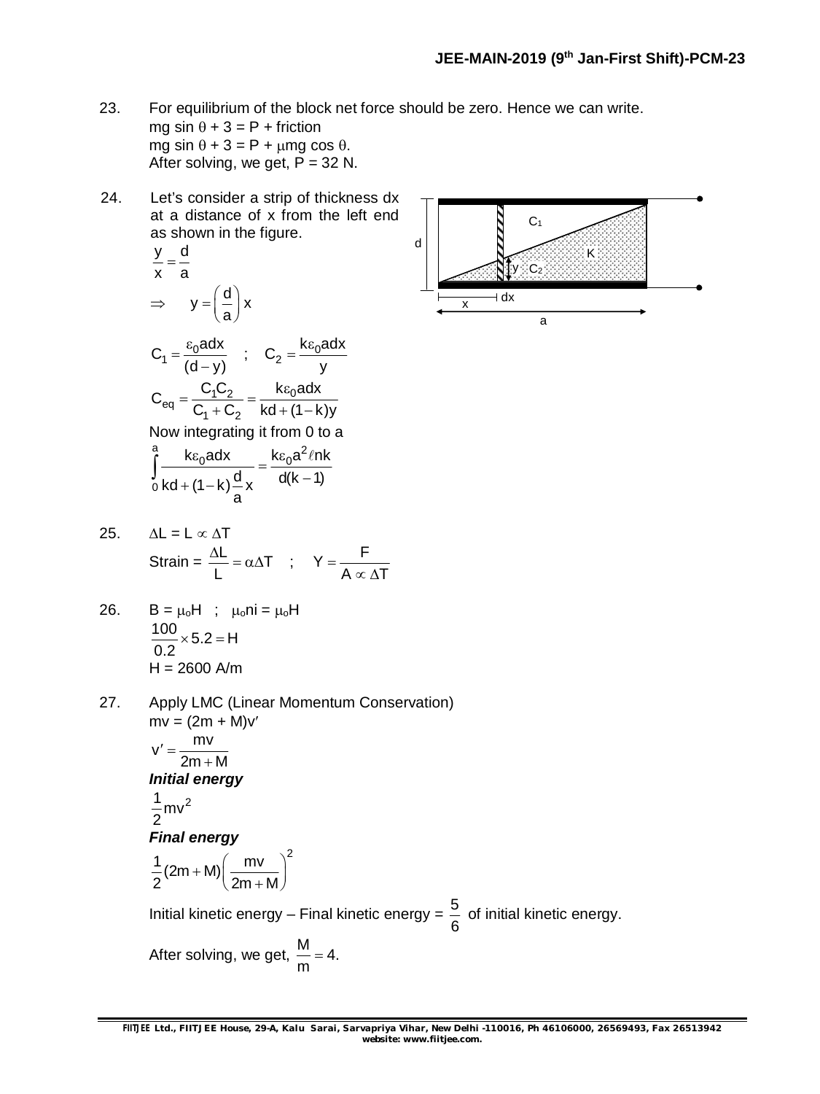- 23. For equilibrium of the block net force should be zero. Hence we can write. mg sin  $\theta$  + 3 = P + friction mg sin  $\theta$  + 3 = P +  $\mu$ mg cos  $\theta$ . After solving, we get,  $P = 32$  N.
- 24. Let's consider a strip of thickness dx at a distance of x from the left end as shown in the figure.

$$
\frac{y}{x} = \frac{d}{a}
$$
  
\n
$$
\Rightarrow y = \left(\frac{d}{a}\right)x
$$

 $\overline{a}$ 

$$
\begin{array}{c|c}\n\hline\n\end{array}
$$

$$
C_{eq} = \frac{C_1 C_2}{C_1 + C_2} = \frac{k \varepsilon_0 a dx}{kd + (1 - k)y}
$$
  
Now integrating it from 0 to a  
<sup>a</sup><sub>1</sub>  $k \varepsilon_0 a dx$   $k \varepsilon_0 a^2 l n k$ 

 $C_1 = \frac{\varepsilon_0 a dx}{(d-x)}$  ;  $C_2 = \frac{k \varepsilon_0 a dx}{y}$  $(d-y)$  y  $=\frac{\varepsilon_0 a dx}{\sqrt{1-\lambda}}$  ;  $C_2 = \frac{k\varepsilon_0 a}{\lambda}$ 

$$
\int_{0}^{R} \frac{\kappa \epsilon_0 a dx}{kd + (1 - k) \frac{d}{a}x} = \frac{\kappa \epsilon_0 a t + R}{d(k - 1)}
$$

25. 
$$
\Delta L = L \propto \Delta T
$$
  
Strain =  $\frac{\Delta L}{L} = \alpha \Delta T$  ;  $Y = \frac{F}{A \propto \Delta T}$ 

26. 
$$
B = \mu_0 H
$$
;  $\mu_0 N i = \mu_0 H$   
\n
$$
\frac{100}{0.2} \times 5.2 = H
$$
\n
$$
H = 2600 \text{ A/m}
$$

27. Apply LMC (Linear Momentum Conservation)  $mv = (2m + M)v'$  $v' = \frac{mv}{2}$  $2m + M$  $' =$  $^{+}$ *Initial energy*

$$
\frac{1}{2}mv^2
$$

#### *Final energy*

$$
\frac{1}{2}(2m+M)\left(\frac{mv}{2m+M}\right)^2
$$

Initial kinetic energy – Final kinetic energy =  $\frac{5}{9}$ 6 of initial kinetic energy.

After solving, we get,  $\frac{{\mathsf M}}{} = 4.$ m  $=$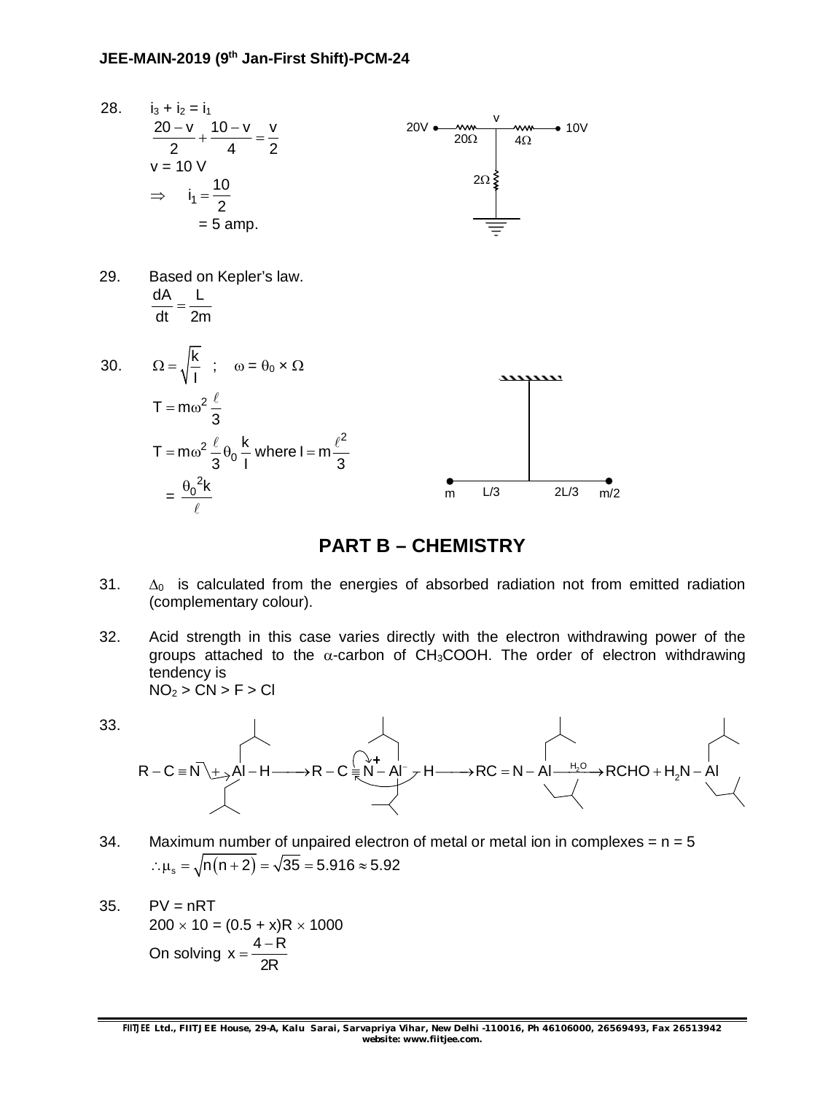

### **PART B – CHEMISTRY**

- 31.  $\Delta_0$  is calculated from the energies of absorbed radiation not from emitted radiation (complementary colour).
- 32. Acid strength in this case varies directly with the electron withdrawing power of the groups attached to the  $\alpha$ -carbon of CH<sub>3</sub>COOH. The order of electron withdrawing tendency is  $NO<sub>2</sub> > CN > F > CI$
- 33.



- 34. Maximum number of unpaired electron of metal or metal ion in complexes =  $n = 5$  $\therefore \mu_s = \sqrt{n(n+2)} = \sqrt{35} = 5.916 \approx 5.92$
- $35.$  PV = nRT  $200 \times 10 = (0.5 + x)R \times 1000$ On solving  $x = \frac{4 - R}{2R}$ 2R  $=\frac{4-}{2}$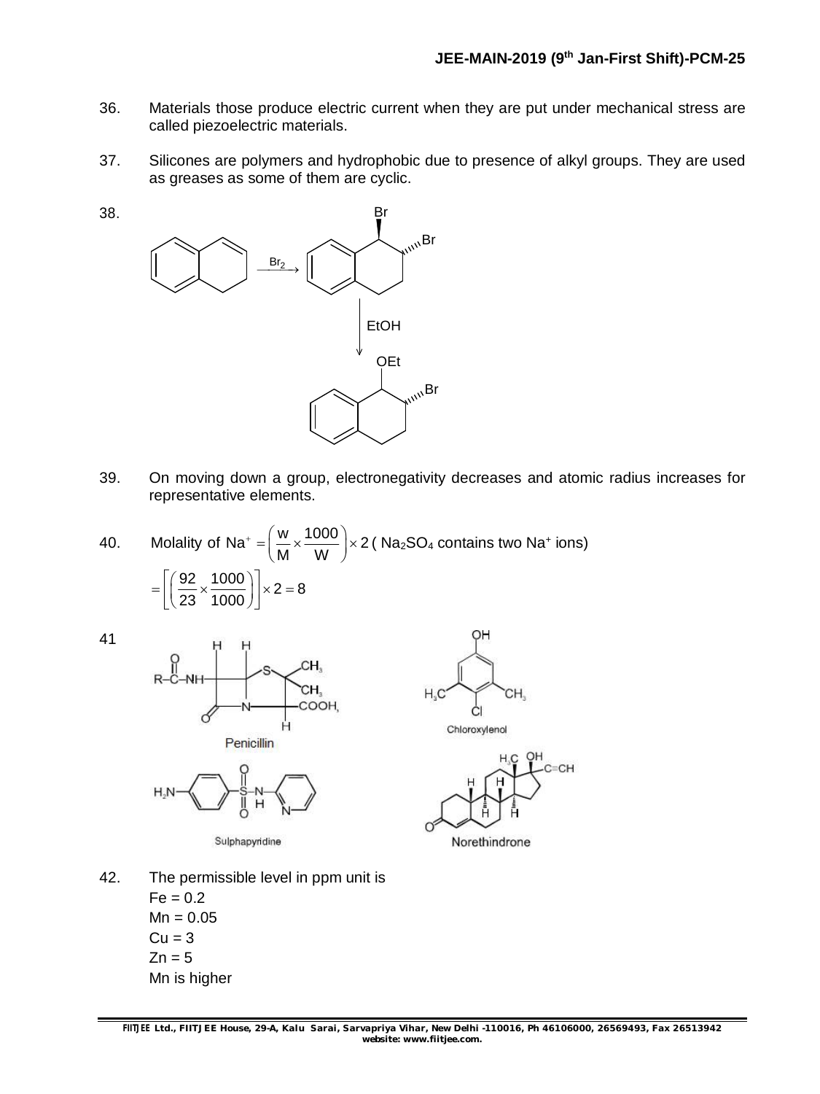- 36. Materials those produce electric current when they are put under mechanical stress are called piezoelectric materials.
- 37. Silicones are polymers and hydrophobic due to presence of alkyl groups. They are used as greases as some of them are cyclic.



- 39. On moving down a group, electronegativity decreases and atomic radius increases for representative elements.
- 40. Molality of Na<sup>+</sup> =  $\left(\frac{w}{M} \times \frac{1000}{M}\right) \times 2$ M W  $A^+ = \left(\frac{w}{M} \times \frac{1000}{W}\right) \times 2$  ( Na<sub>2</sub>SO<sub>4</sub> contains two Na<sup>+</sup> ions)  $\left|\frac{92}{22} \times \frac{1000}{1000}\right| \times 2 = 8$ 23 1000  $=\left[\left(\frac{92}{23}\times\frac{1000}{1000}\right)\right]\times 2=8$



38.





Sulphapyridine



42. The permissible level in ppm unit is  $Fe = 0.2$  $Mn = 0.05$  $Cu = 3$  $Zn = 5$ Mn is higher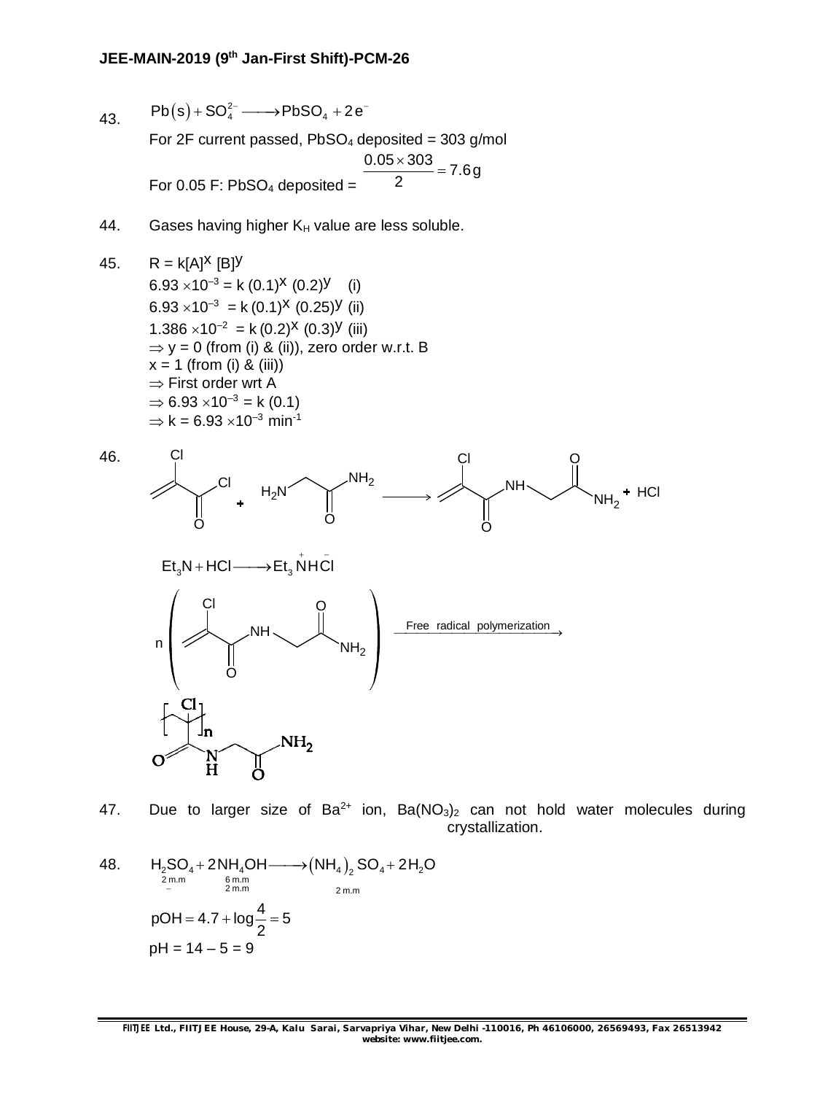43.  $Pb(s) + SO_4^{2-} \longrightarrow PbSO_4 + 2e^-$ 

For 2F current passed,  $PbSO<sub>4</sub>$  deposited = 303 g/mol For 0.05 F:  $PbSO<sub>4</sub>$  deposited =  $\frac{0.05 \times 303}{2}$  = 7.6g 2  $\frac{\times 303}{2}$  =

- 44. Gases having higher  $K_H$  value are less soluble.
- 45.  $R = k[A]^{x}$  [B]<sup>y</sup>  $6.93 \times 10^{-3} = k (0.1)^{x} (0.2)^{y}$  (i)  $6.93 \times 10^{-3} = k (0.1)^{x} (0.25)^{y}$  (ii) 1.386  $\times$ 10<sup>-2</sup> = k (0.2)<sup>X</sup> (0.3)<sup>Y</sup> (iii)  $\Rightarrow$  y = 0 (from (i) & (ii)), zero order w.r.t. B  $x = 1$  (from (i) & (iii))  $\Rightarrow$  First order wrt A  $\Rightarrow$  6.93  $\times$ 10<sup>-3</sup> = k (0.1)  $\Rightarrow$  k = 6.93  $\times$ 10<sup>-3</sup> min<sup>-1</sup>





- 47. Due to larger size of  $Ba^{2+}$  ion,  $Ba(NO<sub>3</sub>)<sub>2</sub>$  can not hold water molecules during crystallization.
- 48.  $H_2SO_4 + 2NH_4OH \longrightarrow (NH_4)_2 SO_4 + 2H_2$ <br>  $\begin{array}{c} \sum_{2 \text{ m.m.}} 2 \text{ m.m.} \end{array}$  $H_2$ SO $_4$ +2NH $_4$ OH-------> $(NH_4)$ , SO $_4$ +2H $_2$ O - $+$  2NH<sub>4</sub>OH------->(NH<sub>4</sub>)<sub>2</sub> SO<sub>4</sub>+2  $pOH = 4.7 + log \frac{4}{2} = 5$ 2  $= 4.7 + log - = 5$  $pH = 14 - 5 = 9$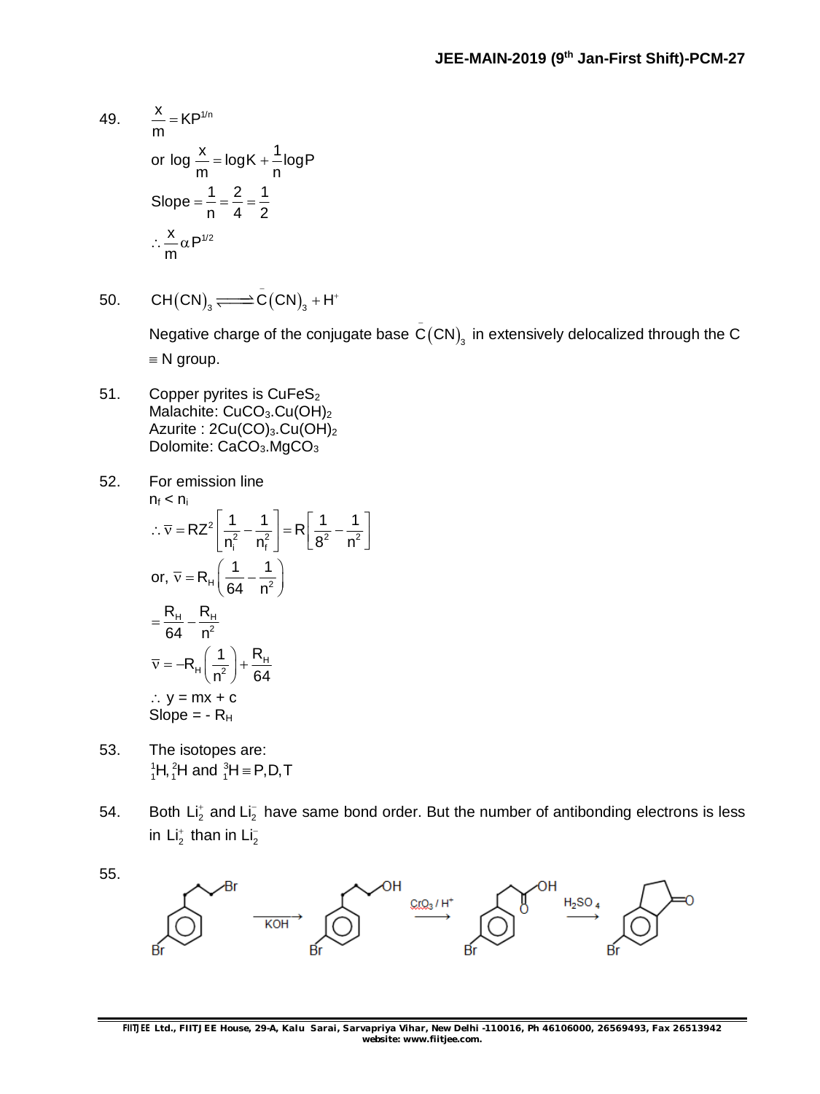49. 
$$
\frac{x}{m} = KP^{1/n}
$$
  
or 
$$
\log \frac{x}{m} = \log K + \frac{1}{n} \log P
$$

$$
Slope = \frac{1}{n} = \frac{2}{4} = \frac{1}{2}
$$

$$
\therefore \frac{x}{m} \alpha P^{1/2}
$$

50. 
$$
CH(CN)_{3} \Longleftrightarrow \bar{C}(CN)_{3} + H^{+}
$$

Negative charge of the conjugate base  $\overset{\text{\small c}}{\mathsf{C}}(\mathsf{CN})_{_{\!3}}$  in extensively delocalized through the  $\mathsf C$  $\equiv$  N group.

51. Copper pyrites is CuFeS<sub>2</sub> Malachite: CuCO<sub>3</sub>.Cu(OH)<sub>2</sub> Azurite : 2Cu(CO)<sub>3</sub>.Cu(OH)<sub>2</sub> Dolomite: CaCO<sub>3</sub>.MgCO<sub>3</sub>

52. For emission line  
\n
$$
n_f < n_i
$$
\n∴  $\overline{v} = RZ^2 \left[ \frac{1}{n_i^2} - \frac{1}{n_f^2} \right] = R \left[ \frac{1}{8^2} - \frac{1}{n^2} \right]$   
\nor,  $\overline{v} = R_H \left( \frac{1}{64} - \frac{1}{n^2} \right)$   
\n
$$
= \frac{R_H}{64} - \frac{R_H}{n^2}
$$
  
\n
$$
\overline{v} = -R_H \left( \frac{1}{n^2} \right) + \frac{R_H}{64}
$$
  
\n∴  $y = mx + c$   
\nSlope = - R<sub>H</sub>

- 53. The isotopes are:  ${}^{1}_{1}H, {}^{2}_{1}H$  and  ${}^{3}_{1}H \equiv P, D, T$
- 54. Both Li<sub>2</sub> and Li<sub>2</sub> have same bond order. But the number of antibonding electrons is less in  $Li<sub>2</sub><sup>+</sup>$  than in  $Li<sub>2</sub><sup>-</sup>$

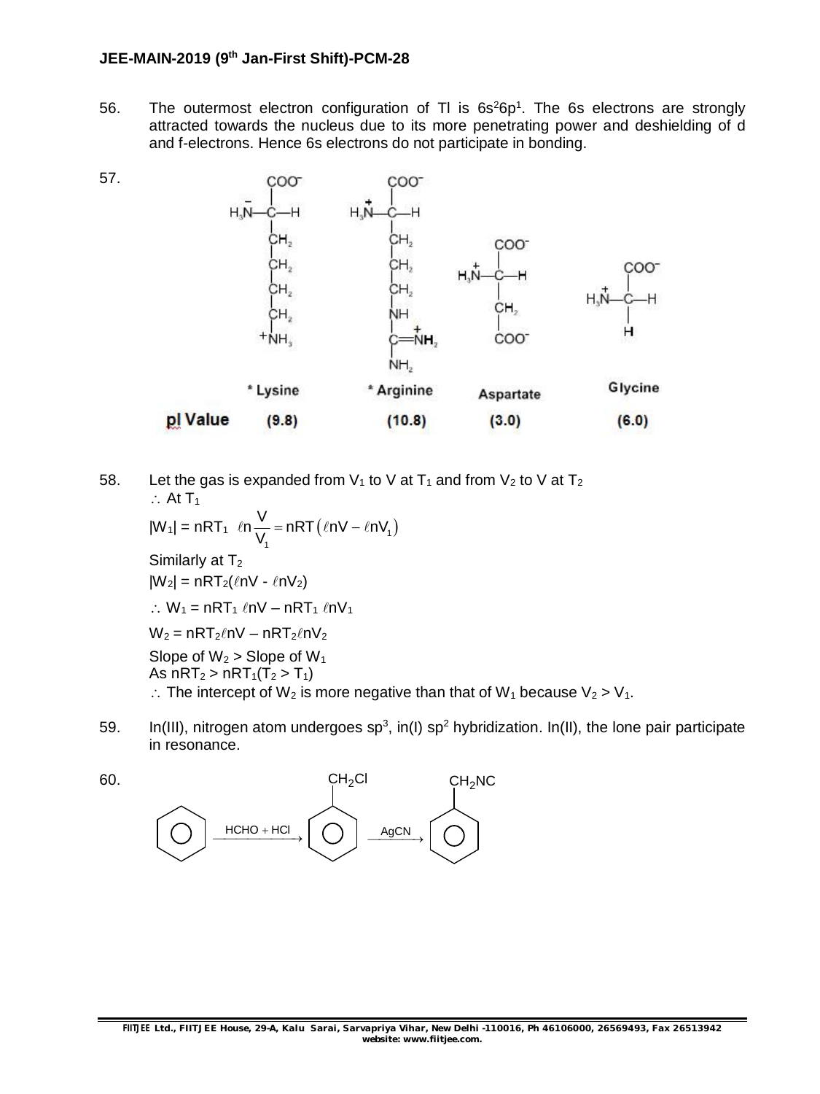56. The outermost electron configuration of TI is  $6s^26p^1$ . The 6s electrons are strongly attracted towards the nucleus due to its more penetrating power and deshielding of d and f-electrons. Hence 6s electrons do not participate in bonding.



58. Let the gas is expanded from  $V_1$  to V at  $T_1$  and from  $V_2$  to V at  $T_2$  $\therefore$  At T<sub>1</sub>

$$
|W_1| = nRT_1 \ln \frac{V}{V_1} = nRT(\ln V - \ln V_1)
$$
  
\nSimilarly at T<sub>2</sub>  
\n
$$
|W_2| = nRT_2(\ln V - \ln V_2)
$$
  
\n
$$
\therefore W_1 = nRT_1 \ln V - nRT_1 \ln V_1
$$
  
\n
$$
W_2 = nRT_2 \ln V - nRT_2 \ln V_2
$$
  
\nSlope of W<sub>2</sub> > Slope of W<sub>1</sub>  
\nAs nRT<sub>2</sub> > nRT<sub>1</sub>(T<sub>2</sub> > T<sub>1</sub>)  
\n
$$
\therefore
$$
 The intercept of W<sub>2</sub> is more negative than that of W<sub>1</sub> because V<sub>2</sub> > V<sub>1</sub>.

59. In(III), nitrogen atom undergoes sp<sup>3</sup>, in(I) sp<sup>2</sup> hybridization. In(II), the lone pair participate in resonance.



60.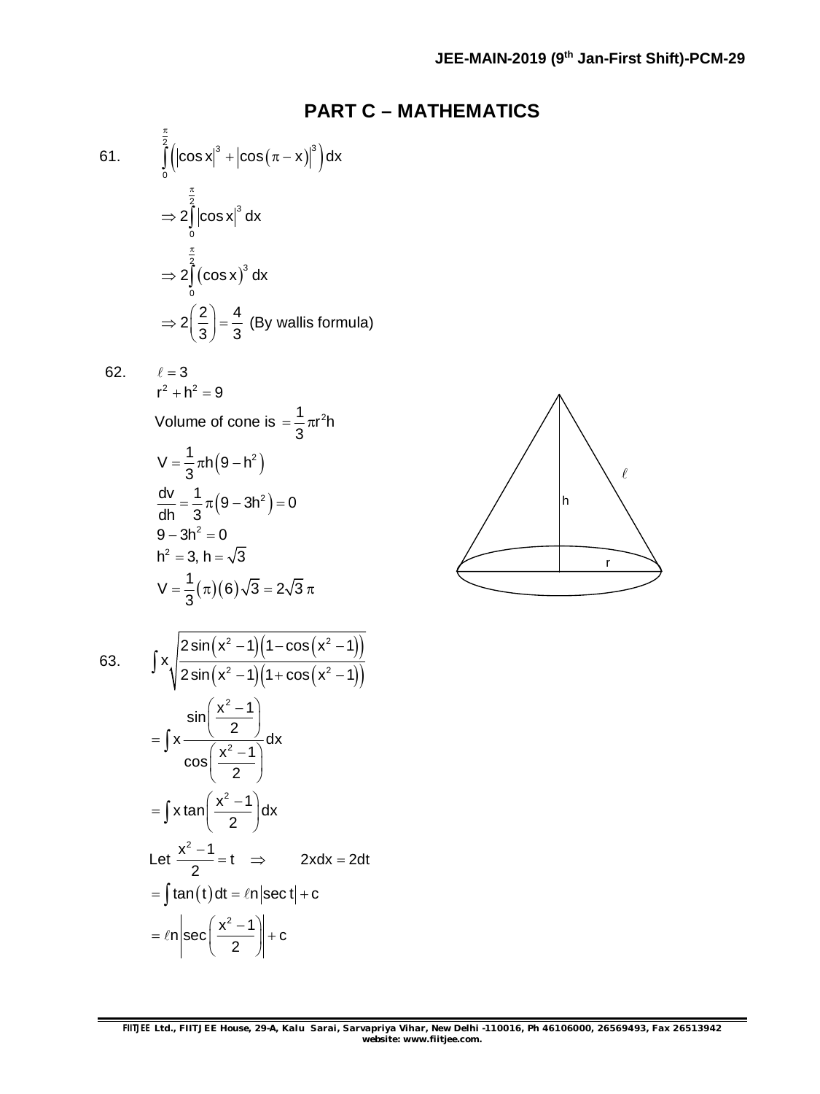### **PART C – MATHEMATICS**

61. 
$$
\int_{0}^{\frac{\pi}{2}} \left( |\cos x|^3 + |\cos(\pi - x)|^3 \right) dx
$$

$$
\Rightarrow 2 \int_{0}^{\frac{\pi}{2}} |\cos x|^3 dx
$$

$$
\Rightarrow 2 \int_{0}^{\frac{\pi}{2}} (\cos x)^3 dx
$$

$$
\Rightarrow 2 \left( \frac{2}{3} \right) = \frac{4}{3} \text{ (By walls formula)}
$$

62.  $\ell = 3$ 

$$
r2 + h2 = 9
$$
  
Volume of cone is =  $\frac{1}{3} \pi r2h$   

$$
V = \frac{1}{3} \pi h (9 - h2)
$$
  

$$
\frac{dv}{dh} = \frac{1}{3} \pi (9 - 3h2) = 0
$$
  
9 - 3h<sup>2</sup> = 0  

$$
h2 = 3, h = \sqrt{3}
$$
  

$$
V = \frac{1}{3} (\pi) (6) \sqrt{3} = 2\sqrt{3} \pi
$$



63.

$$
\int x \sqrt{\frac{2\sin(x^2 - 1)(1 - \cos(x^2 - 1))}{2\sin(x^2 - 1)(1 + \cos(x^2 - 1))}}
$$
\n
$$
= \int x \frac{x^2 - 1}{\cos(\frac{x^2 - 1}{2})} dx
$$
\n
$$
= \int x \tan(\frac{x^2 - 1}{2}) dx
$$
\nLet  $\frac{x^2 - 1}{2} = t \implies 2x dx = 2dt$   
\n
$$
= \int \tan(t) dt = \ln|\sec t| + c
$$
\n
$$
= \ln |\sec(\frac{x^2 - 1}{2})| + c
$$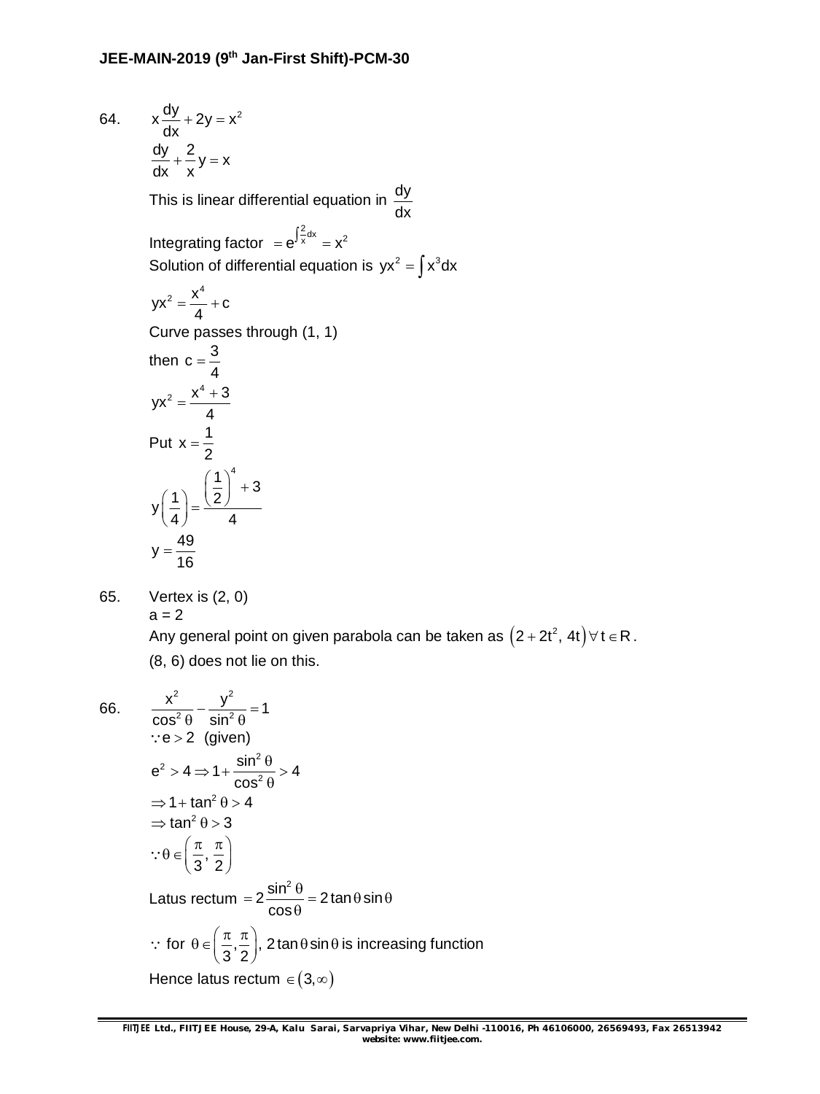64.  $x \frac{dy}{dx} + 2y = x^2$ dx  $+2y = 3$  $\frac{dy}{dx} + \frac{2}{y} = x$ dx x  $+\bar{-}y=$ This is linear differential equation in  $\frac{dy}{dx}$ dx Integrating factor  $= e^{\int \frac{2}{x} dx} = x^2$ Solution of differential equation is  $yx^2 = \int x^3 dx$  $yx^2 = \frac{x^4}{4} + c$ 4  $=\frac{N}{l}+C$ Curve passes through (1, 1) then  $c = \frac{3}{4}$ 4  $=$  $yx^2 = \frac{x^4 + 3}{1}$ 4  $=\frac{x^4+1}{1}$ Put  $x = \frac{1}{2}$ 2  $=$  $y\left(\frac{1}{2}\right) = \frac{\left(\frac{1}{2}\right)^4 + 3}{1}$ 4 4  $\left(\frac{1}{4}\right) = \frac{\left(\frac{1}{2}\right)^4}{4}$  $y = \frac{49}{18}$ 16  $=$ 

65. Vertex is (2, 0)  $a = 2$ 

> 2  $\sqrt{2}$  $\frac{x^2}{x^2} - \frac{y^2}{\sin^2 \theta} = 1$

 $-\frac{y}{2a} = 1$ 

Any general point on given parabola can be taken as  $\left(2+2t^2,\,4t\right)\forall\,t\in\mathsf{R}$  . (8, 6) does not lie on this.

66.

$$
\cos^2 \theta \quad \sin^2 \theta
$$
  
\n
$$
\because e > 2 \quad \text{(given)}
$$
  
\n
$$
e^2 > 4 \Rightarrow 1 + \frac{\sin^2 \theta}{\cos^2 \theta} > 4
$$
  
\n
$$
\Rightarrow 1 + \tan^2 \theta > 4
$$
  
\n
$$
\Rightarrow \tan^2 \theta > 3
$$
  
\n
$$
\because \theta \in \left(\frac{\pi}{3}, \frac{\pi}{2}\right)
$$
  
\nLatus rectum =  $2 \frac{\sin^2 \theta}{\cos \theta} = 2 \tan \theta \sin \theta$   
\n
$$
\therefore \text{ for } \theta \in \left(\frac{\pi}{3}, \frac{\pi}{2}\right), \ 2 \tan \theta \sin \theta \text{ is increasing function}
$$
  
\nHence latus rectum  $\in (3, \infty)$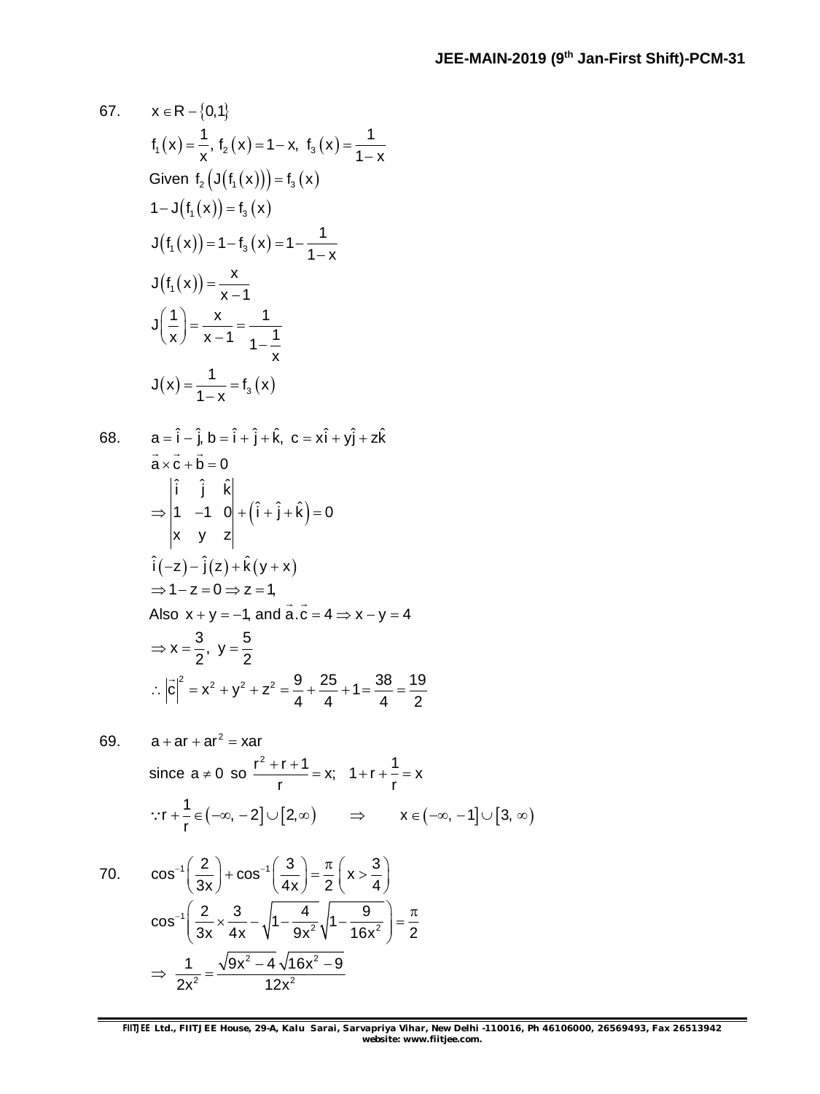67. 
$$
x \in R - \{0, 1\}
$$
  
\n $f_1(x) = \frac{1}{x}, f_2(x) = 1 - x, f_3(x) = \frac{1}{1 - x}$   
\nGiven  $f_2(J(f_1(x))) = f_3(x)$   
\n $1 - J(f_1(x)) = f_3(x)$   
\n $J(f_1(x)) = 1 - f_3(x) = 1 - \frac{1}{1 - x}$   
\n $J(f_1(x)) = \frac{x}{x - 1}$   
\n $J(\frac{1}{x}) = \frac{x}{x - 1} = \frac{1}{1 - \frac{1}{x}}$   
\n $J(x) = \frac{1}{1 - x} = f_3(x)$   
\n68.  $a = \hat{i} - \hat{j}, b = \hat{i} + \hat{j} + \hat{k}, c = x\hat{i} + y\hat{j} + z\hat{k}$   
\n $\vec{a} \times \vec{c} + \vec{b} = 0$   
\n $\Rightarrow \begin{vmatrix} \hat{i} & \hat{j} & \hat{k} \\ 1 & -1 & 0 \\ x & y & z \end{vmatrix} + (\hat{i} + \hat{j} + \hat{k}) = 0$   
\n $\therefore \begin{vmatrix} \hat{i} - z - \hat{j}(z) + \hat{k}(y + x) \\ y + z - z = 0 \Rightarrow z = 1, \\ A \text{Iso } x + y = -1, \text{ and } \vec{a} \cdot \vec{c} = 4 \Rightarrow x - y = 4$   
\n $\Rightarrow x = \frac{3}{2}, y = \frac{5}{2}$   
\n $\therefore |\vec{c}|^2 = x^2 + y^2 + z^2 = \frac{9}{4} + \frac{25}{4} + 1 = \frac{38}{4} = \frac{19}{2}$   
\n69.  $a + ar + ar^2 = xar$   
\nsince  $a \ne 0$  so  $\frac{r^2 + r + 1}{r} = x$ ;  $1 + r + \frac{1}{r} = x$ 

$$
\because r + \frac{1}{r} \in (-\infty, -2] \cup [2, \infty) \qquad \Rightarrow \qquad x \in (-\infty, -1] \cup [3, \infty)
$$

70. 
$$
\cos^{-1}\left(\frac{2}{3x}\right) + \cos^{-1}\left(\frac{3}{4x}\right) = \frac{\pi}{2}\left(x > \frac{3}{4}\right)
$$

$$
\cos^{-1}\left(\frac{2}{3x} \times \frac{3}{4x} - \sqrt{1 - \frac{4}{9x^2}\sqrt{1 - \frac{9}{16x^2}}}\right) = \frac{\pi}{2}
$$

$$
\Rightarrow \frac{1}{2x^2} = \frac{\sqrt{9x^2 - 4}\sqrt{16x^2 - 9}}{12x^2}
$$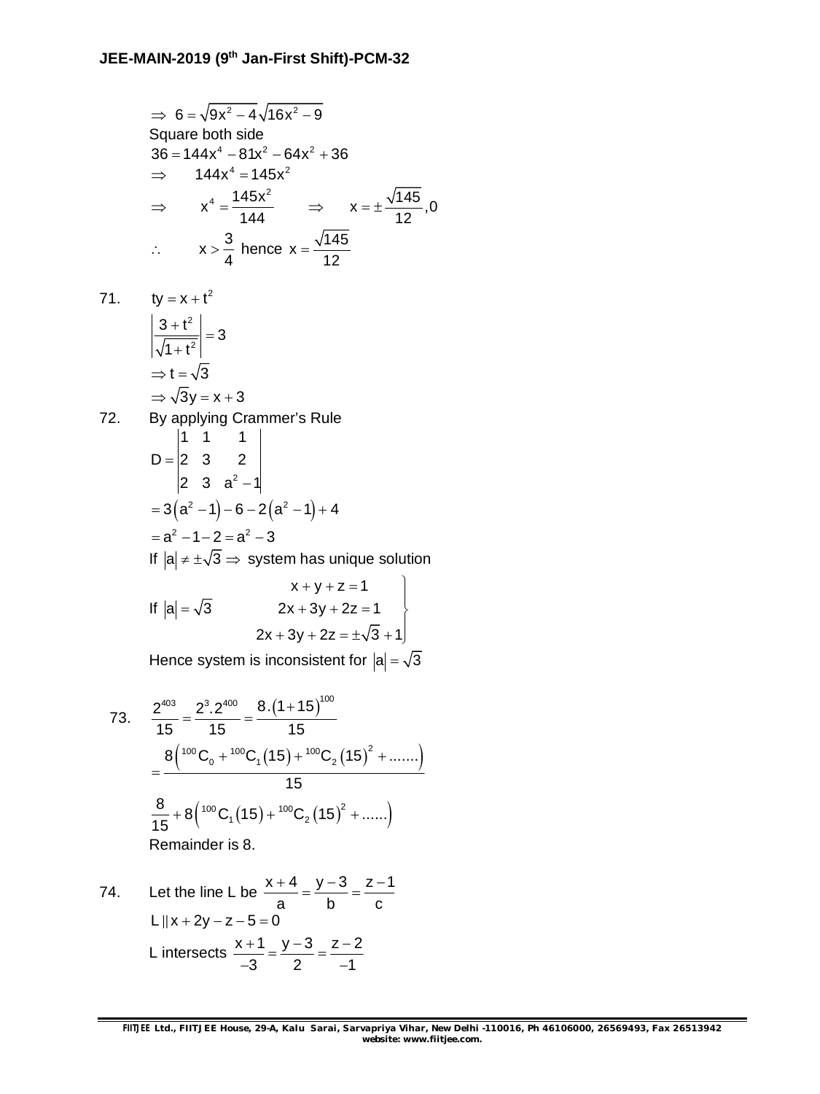$$
\Rightarrow 6 = \sqrt{9x^2 - 4} \sqrt{16x^2 - 9}
$$
  
\nSquare both side  
\n
$$
36 = 144x^4 - 81x^2 - 64x^2 + 36
$$
  
\n
$$
\Rightarrow 144x^4 = 145x^2
$$
  
\n
$$
\Rightarrow x^4 = \frac{145x^2}{144} \Rightarrow x = \pm \frac{\sqrt{145}}{12}, 0
$$
  
\n
$$
\therefore x > \frac{3}{4} \text{ hence } x = \frac{\sqrt{145}}{12}
$$

71.  $ty = x + t^2$ 2  $\left| \frac{3+t^2}{\sqrt{1+t^2}} \right| = 3$  $1 + t^2$  $\left|+\frac{t^2}{2}\right| =$  $\ddot{}$  $\Rightarrow$  t =  $\sqrt{3}$  $\Rightarrow \sqrt{3y} = x + 3$ 

72. By applying Crammer's Rule  
\n
$$
D = \begin{vmatrix} 1 & 1 & 1 \\ 2 & 3 & 2 \\ 2 & 3 & a^2 - 1 \end{vmatrix}
$$
\n
$$
= 3(a^2 - 1) - 6 - 2(a^2 - 1) + 4
$$
\n
$$
= a^2 - 1 - 2 = a^2 - 3
$$
\nIf  $|a| \neq \pm \sqrt{3} \Rightarrow$  system has unique solution  
\n
$$
x + y + z = 1
$$

If 
$$
|a| = \sqrt{3}
$$
  
\n $2x + 3y + 2z = 1$   
\n $2x + 3y + 2z = \pm \sqrt{3} + 1$ 

Hence system is inconsistent for  $|a| = \sqrt{3}$ 

73. 
$$
\frac{2^{403}}{15} = \frac{2^3 \cdot 2^{400}}{15} = \frac{8 \cdot (1 + 15)^{100}}{15}
$$

$$
= \frac{8 \left( \frac{100}{15}C_0 + \frac{100}{15}C_1(15) + \frac{100}{15}C_2(15)^2 + \dots \right)}{15}
$$

$$
\frac{8}{15} + 8 \left( \frac{100}{15}C_1(15) + \frac{100}{15}C_2(15)^2 + \dots \right)
$$

$$
Remainder is 8.
$$

74. Let the line L be 
$$
\frac{x+4}{a} = \frac{y-3}{b} = \frac{z-1}{c}
$$
  
\nL||x+2y-z-5=0  
\nL intersects  $\frac{x+1}{-3} = \frac{y-3}{2} = \frac{z-2}{-1}$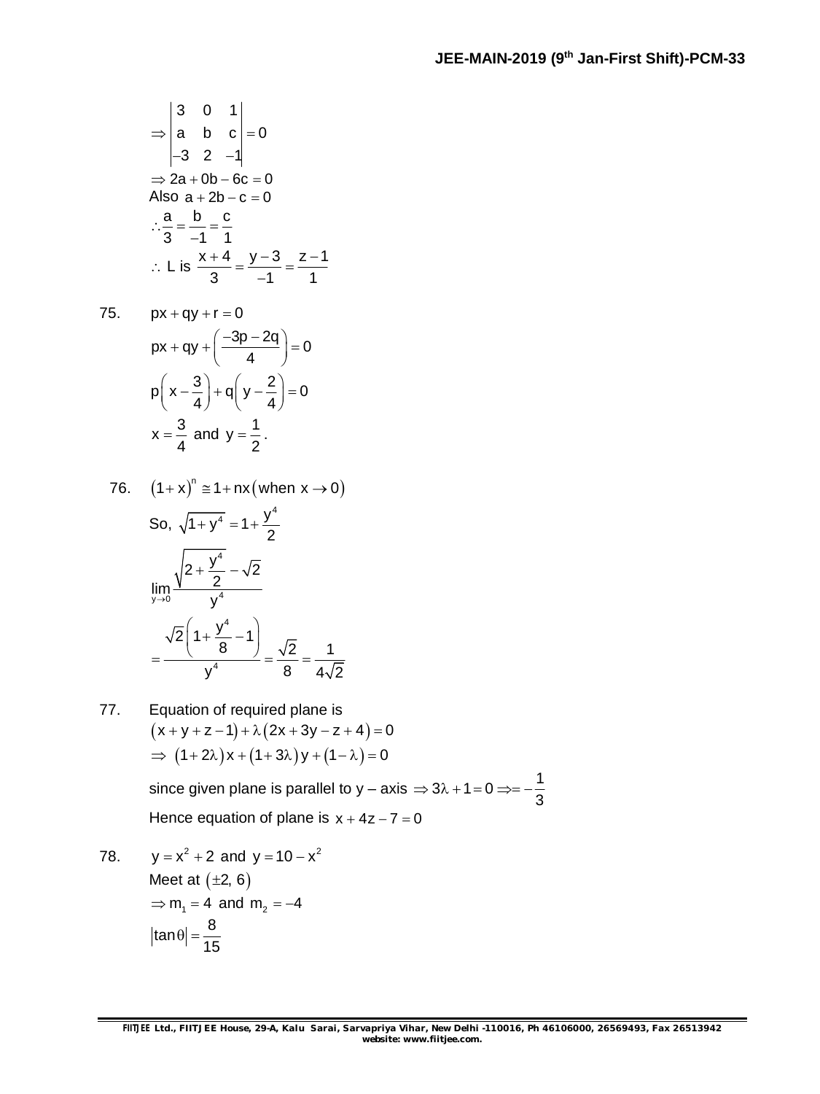$$
\Rightarrow \begin{vmatrix} 3 & 0 & 1 \\ a & b & c \\ -3 & 2 & -1 \end{vmatrix} = 0
$$
  
\Rightarrow 2a + 0b - 6c = 0  
Also a + 2b - c = 0  

$$
\therefore \frac{a}{3} = \frac{b}{-1} = \frac{c}{1}
$$
  

$$
\therefore L \text{ is } \frac{x + 4}{3} = \frac{y - 3}{-1} = \frac{z - 1}{1}
$$

$$
75. \qquad px+qy+r=0
$$

$$
px + qy + \left(\frac{-3p - 2q}{4}\right) = 0
$$
  
 
$$
p\left(x - \frac{3}{4}\right) + q\left(y - \frac{2}{4}\right) = 0
$$
  
 
$$
x = \frac{3}{4} \text{ and } y = \frac{1}{2}.
$$

76. 
$$
(1+x)^n \approx 1 + nx(\text{ when } x \to 0)
$$
  
\nSo,  $\sqrt{1+y^4} = 1 + \frac{y^4}{2}$   
\n
$$
\lim_{y \to 0} \frac{\sqrt{2 + \frac{y^4}{2}} - \sqrt{2}}{y^4}
$$
\n
$$
= \frac{\sqrt{2} \left(1 + \frac{y^4}{8} - 1\right)}{y^4} = \frac{\sqrt{2}}{8} = \frac{1}{4\sqrt{2}}
$$

77. Equation of required plane is  $(x + y + z - 1) + \lambda (2x + 3y - z + 4) = 0$  $\Rightarrow$   $(1+2\lambda)x + (1+3\lambda)y + (1-\lambda) = 0$ since given plane is parallel to y – axis  $\Rightarrow$  3 $\lambda$  + 1 = 0  $\Rightarrow$  = –  $\frac{1}{6}$  $\Rightarrow$  3 $\lambda$  + 1 = 0  $\Rightarrow$  = --

Hence equation of plane is  $x + 4z - 7 = 0$ 

78.  $y = x^2 + 2$  and  $y = 10 - x^2$ Meet at  $(\pm 2, 6)$  $\Rightarrow$  m<sub>1</sub> = 4 and m<sub>2</sub> = -4  $\tan \theta = \frac{8}{15}$ 15  $|\theta| = -$ 

3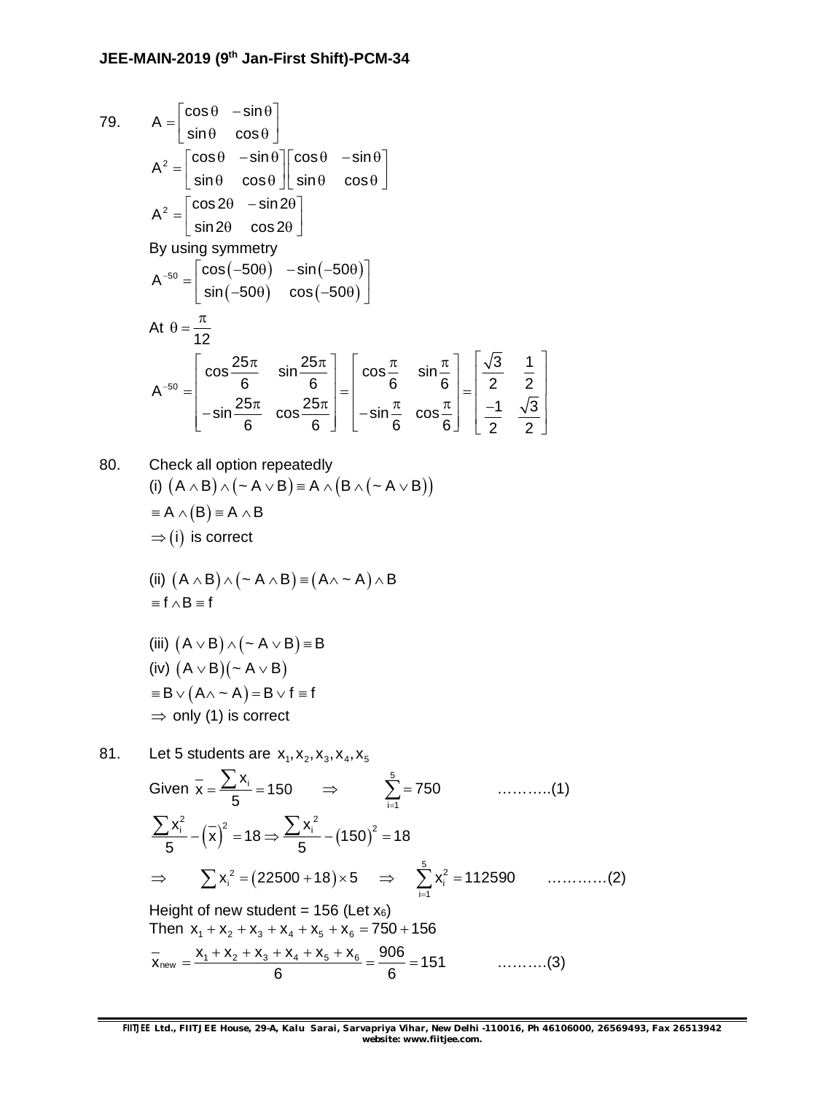79. 
$$
A = \begin{bmatrix} \cos \theta & -\sin \theta \\ \sin \theta & \cos \theta \end{bmatrix}
$$
  
\n
$$
A^{2} = \begin{bmatrix} \cos \theta & -\sin \theta \\ \sin \theta & \cos \theta \end{bmatrix} \begin{bmatrix} \cos \theta & -\sin \theta \\ \sin \theta & \cos \theta \end{bmatrix}
$$
  
\n
$$
A^{2} = \begin{bmatrix} \cos 2\theta & -\sin 2\theta \\ \sin 2\theta & \cos 2\theta \end{bmatrix}
$$
  
\nBy using symmetry  
\n
$$
A^{-50} = \begin{bmatrix} \cos(-50\theta) & -\sin(-50\theta) \\ \sin(-50\theta) & \cos(-50\theta) \end{bmatrix}
$$
  
\nAt  $\theta = \frac{\pi}{12}$   
\n
$$
A^{-50} = \begin{bmatrix} \cos \frac{25\pi}{6} & \sin \frac{25\pi}{6} \\ -\sin \frac{25\pi}{6} & \cos \frac{25\pi}{6} \end{bmatrix} = \begin{bmatrix} \cos \frac{\pi}{6} & \sin \frac{\pi}{6} \\ -\sin \frac{\pi}{6} & \cos \frac{\pi}{6} \end{bmatrix} = \begin{bmatrix} \frac{\sqrt{3}}{2} & \frac{1}{2} \\ \frac{-1}{2} & \frac{\sqrt{3}}{2} \end{bmatrix}
$$

80. Check all option repeatedly (i)  $(A \wedge B) \wedge (\sim A \vee B) \equiv A \wedge (B \wedge (\sim A \vee B))$  $A \wedge (B) = A \wedge B$  $\Rightarrow$  (i) is correct (ii)  $(A \wedge B) \wedge (\sim A \wedge B) = (A \wedge \cdots A)$ 

(ii) 
$$
(A \wedge B) \wedge (\sim A \wedge B) \equiv (A \wedge \sim A) \wedge B
$$
  
=  $f \wedge B = f$ 

(iii) 
$$
(A \lor B) \land (\sim A \lor B) \equiv B
$$
  
\n(iv)  $(A \lor B)(\sim A \lor B)$   
\n $\equiv B \lor (A \land \sim A) = B \lor f \equiv f$   
\n⇒ only (1) is correct

81. Let 5 students are 
$$
x_1, x_2, x_3, x_4, x_5
$$
  
\nGiven  $\overline{x} = \frac{\sum x_i}{5} = 150$   $\Rightarrow$   $\sum_{i=1}^{5} = 750$  .........(1)  
\n $\sum x_i^2 - (\overline{x})^2 = 18 \Rightarrow \sum x_i^2 - (150)^2 = 18$   
\n $\Rightarrow \sum x_i^2 = (22500 + 18) \times 5 \Rightarrow \sum_{i=1}^{5} x_i^2 = 112590$  .........(2)  
\nHeight of new student = 156 (Let  $x_6$ )  
\nThen  $x_1 + x_2 + x_3 + x_4 + x_5 + x_6 = 750 + 156$   
\n $\overline{x}_{new} = \frac{x_1 + x_2 + x_3 + x_4 + x_5 + x_6}{6} = \frac{906}{6} = 151$  .........(3)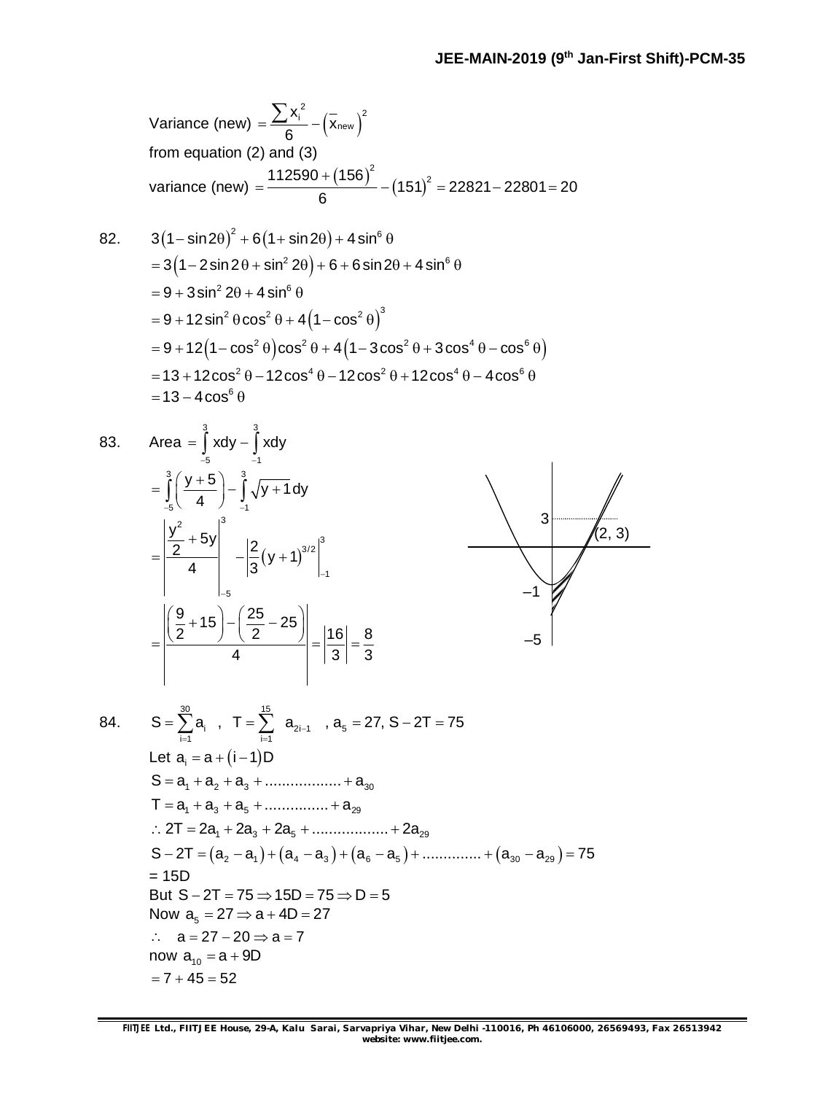Variance (new) = 
$$
\frac{\sum x_i^2}{6} - (\overline{x}_{new})^2
$$
  
\nfrom equation (2) and (3)  
\nvariance (new) =  $\frac{112590 + (156)^2}{6} - (151)^2 = 22821 - 22801 = 20$   
\n82.  $3(1 - \sin 2\theta)^2 + 6(1 + \sin 2\theta) + 4\sin^6 \theta$   
\n=  $3(1 - 2\sin 2\theta + \sin^2 2\theta) + 6 + 6\sin 2\theta + 4\sin^6 \theta$   
\n=  $9 + 3\sin^2 2\theta + 4\sin^6 \theta$   
\n=  $9 + 12\sin^2 \theta \cos^2 \theta + 4(1 - \cos^2 \theta)^3$   
\n=  $9 + 12(1 - \cos^2 \theta)\cos^2 \theta + 4(1 - 3\cos^2 \theta + 3\cos^4 \theta - \cos^6 \theta)$   
\n=  $13 + 12\cos^2 \theta - 12\cos^4 \theta - 12\cos^2 \theta + 12\cos^4 \theta - 4\cos^6 \theta$   
\n=  $13 - 4\cos^6 \theta$ 

Area 
$$
=\int_{-5}^{3} x dy - \int_{-1}^{3} x dy
$$
  
\n
$$
= \int_{-5}^{3} \left(\frac{y+5}{4}\right) - \int_{-1}^{3} \sqrt{y+1} dy
$$
\n
$$
= \left|\frac{y^{2}}{2} + 5y\right|_{-1}^{3} - \left|\frac{2}{3}(y+1)\right|_{-1}^{3/2}
$$
\n
$$
= \left|\frac{\left(\frac{9}{2} + 15\right) - \left(\frac{25}{2} - 25\right)}{4}\right| = \left|\frac{16}{3}\right| = \frac{8}{3}
$$



$$
84.
$$

83.

$$
S = \sum_{i=1}^{30} a_i, T = \sum_{i=1}^{15} a_{2i-1}, a_5 = 27, S - 2T = 75
$$
  
\nLet  $a_i = a + (i - 1)D$   
\n
$$
S = a_1 + a_2 + a_3 + \dots + a_{30}
$$
  
\n
$$
T = a_1 + a_3 + a_5 + \dots + a_{29}
$$
  
\n
$$
\therefore 2T = 2a_1 + 2a_3 + 2a_5 + \dots + 2a_{29}
$$
  
\n
$$
S - 2T = (a_2 - a_1) + (a_4 - a_3) + (a_6 - a_5) + \dots + (a_{30} - a_{29}) = 75
$$
  
\n
$$
= 15D
$$
  
\nBut  $S - 2T = 75 \Rightarrow 15D = 75 \Rightarrow D = 5$   
\nNow  $a_5 = 27 \Rightarrow a + 4D = 27$   
\n
$$
\therefore a = 27 - 20 \Rightarrow a = 7
$$
  
\nnow  $a_{10} = a + 9D$   
\n
$$
= 7 + 45 = 52
$$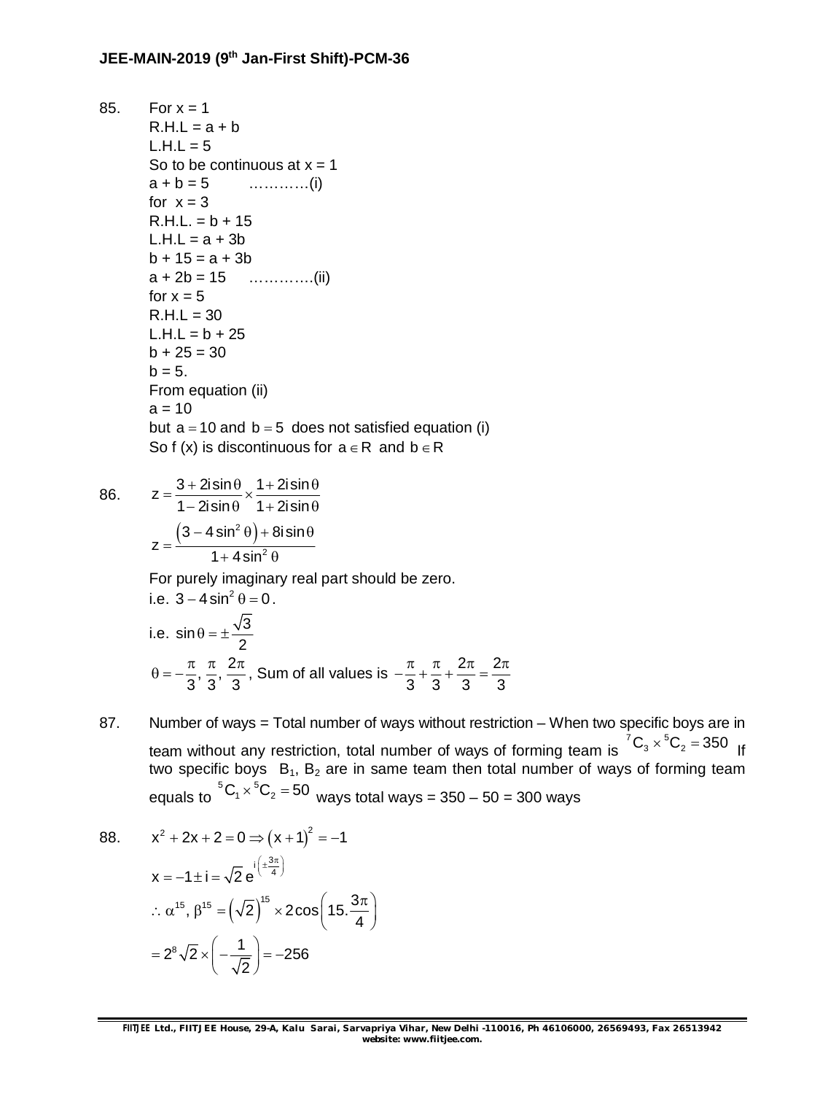85. For  $x = 1$  $R.H.L = a + b$  $L.H.L = 5$ So to be continuous at  $x = 1$ a + b = 5 …………(i) for  $x = 3$  $R.H.L. = b + 15$  $L.H.L = a + 3b$  $b + 15 = a + 3b$  $a + 2b = 15$  …………..(ii) for  $x = 5$  $R.H.L = 30$  $L.H.L = b + 25$  $b + 25 = 30$  $b = 5.$ From equation (ii)  $a = 10$ but  $a = 10$  and  $b = 5$  does not satisfied equation (i) So f (x) is discontinuous for  $a \in R$  and  $b \in R$ 

z

86. 
$$
z = \frac{3 + 2i \sin \theta}{1 - 2i \sin \theta} \times \frac{1 + 2i \sin \theta}{1 + 2i \sin \theta}
$$

$$
z = \frac{(3 - 4 \sin^2 \theta) + 8i \sin \theta}{1 + 4 \sin^2 \theta}
$$

For purely imaginary real part should be zero.

i.e. 
$$
3 - 4 \sin^2 \theta = 0
$$
.  
\ni.e.  $\sin \theta = \pm \frac{\sqrt{3}}{2}$   
\n $\theta = -\frac{\pi}{3}, \frac{\pi}{3}, \frac{2\pi}{3}$ , Sum of all values is  $-\frac{\pi}{3} + \frac{\pi}{3} + \frac{2\pi}{3} = \frac{2\pi}{3}$ 

87. Number of ways = Total number of ways without restriction – When two specific boys are in team without any restriction, total number of ways of forming team is  ${^7\text{C}_3}\times{^5\text{C}_2} = 350$  If two specific boys  $B_1$ ,  $B_2$  are in same team then total number of ways of forming team equals to  ${\rm ^{5}C_{1}}{\times} {\rm ^{5}C_{2}}$  = 50  $\,$  ways total ways = 350 – 50 = 300 ways

88. 
$$
x^{2} + 2x + 2 = 0 \Rightarrow (x + 1)^{2} = -1
$$

$$
x = -1 \pm i = \sqrt{2} e^{i \left(\pm \frac{3\pi}{4}\right)}
$$

$$
\therefore \alpha^{15}, \beta^{15} = \left(\sqrt{2}\right)^{15} \times 2 \cos\left(15 \cdot \frac{3\pi}{4}\right)
$$

$$
= 2^{8} \sqrt{2} \times \left(-\frac{1}{\sqrt{2}}\right) = -256
$$